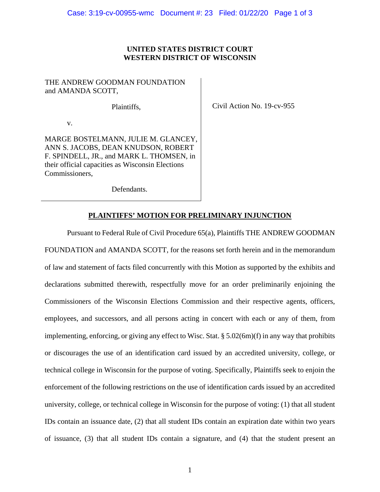### **UNITED STATES DISTRICT COURT WESTERN DISTRICT OF WISCONSIN**

## THE ANDREW GOODMAN FOUNDATION and AMANDA SCOTT,

Plaintiffs,

Civil Action No. 19-cv-955

v.

MARGE BOSTELMANN, JULIE M. GLANCEY, ANN S. JACOBS, DEAN KNUDSON, ROBERT F. SPINDELL, JR., and MARK L. THOMSEN, in their official capacities as Wisconsin Elections Commissioners,

Defendants.

## **PLAINTIFFS' MOTION FOR PRELIMINARY INJUNCTION**

Pursuant to Federal Rule of Civil Procedure 65(a), Plaintiffs THE ANDREW GOODMAN FOUNDATION and AMANDA SCOTT, for the reasons set forth herein and in the memorandum of law and statement of facts filed concurrently with this Motion as supported by the exhibits and declarations submitted therewith, respectfully move for an order preliminarily enjoining the Commissioners of the Wisconsin Elections Commission and their respective agents, officers, employees, and successors, and all persons acting in concert with each or any of them, from implementing, enforcing, or giving any effect to Wisc. Stat. § 5.02(6m)(f) in any way that prohibits or discourages the use of an identification card issued by an accredited university, college, or technical college in Wisconsin for the purpose of voting. Specifically, Plaintiffs seek to enjoin the enforcement of the following restrictions on the use of identification cards issued by an accredited university, college, or technical college in Wisconsin for the purpose of voting: (1) that all student IDs contain an issuance date, (2) that all student IDs contain an expiration date within two years of issuance, (3) that all student IDs contain a signature, and (4) that the student present an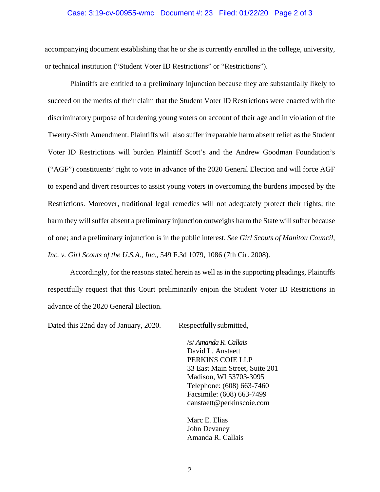#### Case: 3:19-cv-00955-wmc Document #: 23 Filed: 01/22/20 Page 2 of 3

accompanying document establishing that he or she is currently enrolled in the college, university, or technical institution ("Student Voter ID Restrictions" or "Restrictions").

Plaintiffs are entitled to a preliminary injunction because they are substantially likely to succeed on the merits of their claim that the Student Voter ID Restrictions were enacted with the discriminatory purpose of burdening young voters on account of their age and in violation of the Twenty-Sixth Amendment. Plaintiffs will also suffer irreparable harm absent relief as the Student Voter ID Restrictions will burden Plaintiff Scott's and the Andrew Goodman Foundation's ("AGF") constituents' right to vote in advance of the 2020 General Election and will force AGF to expend and divert resources to assist young voters in overcoming the burdens imposed by the Restrictions. Moreover, traditional legal remedies will not adequately protect their rights; the harm they will suffer absent a preliminary injunction outweighs harm the State will suffer because of one; and a preliminary injunction is in the public interest. *See Girl Scouts of Manitou Council, Inc. v. Girl Scouts of the U.S.A., Inc.*, 549 F.3d 1079, 1086 (7th Cir. 2008).

Accordingly, for the reasons stated herein as well as in the supporting pleadings, Plaintiffs respectfully request that this Court preliminarily enjoin the Student Voter ID Restrictions in advance of the 2020 General Election.

Dated this 22nd day of January, 2020. Respectfully submitted,

/s/ *Amanda R. Callais* David L. Anstaett PERKINS COIE LLP 33 East Main Street, Suite 201 Madison, WI 53703-3095 Telephone: (608) 663-7460 Facsimile: (608) 663-7499 danstaett@perkinscoie.com

Marc E. Elias John Devaney Amanda R. Callais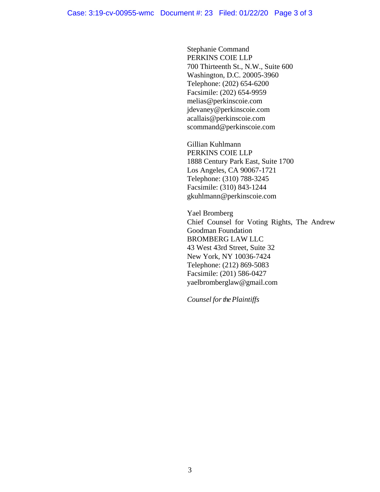Stephanie Command PERKINS COIE LLP 700 Thirteenth St., N.W., Suite 600 Washington, D.C. 20005-3960 Telephone: (202) 654-6200 Facsimile: (202) 654-9959 melias@perkinscoie.com jdevaney@perkinscoie.com acallais@perkinscoie.com scommand@perkinscoie.com

Gillian Kuhlmann PERKINS COIE LLP 1888 Century Park East, Suite 1700 Los Angeles, CA 90067-1721 Telephone: (310) 788-3245 Facsimile: (310) 843-1244 gkuhlmann@perkinscoie.com

Yael Bromberg Chief Counsel for Voting Rights, The Andrew Goodman Foundation BROMBERG LAW LLC 43 West 43rd Street, Suite 32 New York, NY 10036-7424 Telephone: (212) 869-5083 Facsimile: (201) 586-0427 yaelbromberglaw@gmail.com

*Counsel for the Plaintiffs*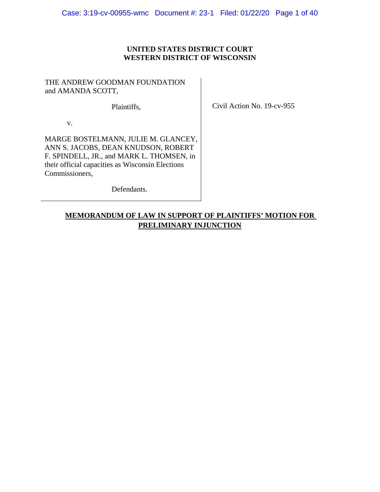## **UNITED STATES DISTRICT COURT WESTERN DISTRICT OF WISCONSIN**

## THE ANDREW GOODMAN FOUNDATION and AMANDA SCOTT,

Plaintiffs,

Civil Action No. 19-cv-955

v.

MARGE BOSTELMANN, JULIE M. GLANCEY, ANN S. JACOBS, DEAN KNUDSON, ROBERT F. SPINDELL, JR., and MARK L. THOMSEN, in their official capacities as Wisconsin Elections Commissioners,

Defendants.

# **MEMORANDUM OF LAW IN SUPPORT OF PLAINTIFFS' MOTION FOR PRELIMINARY INJUNCTION**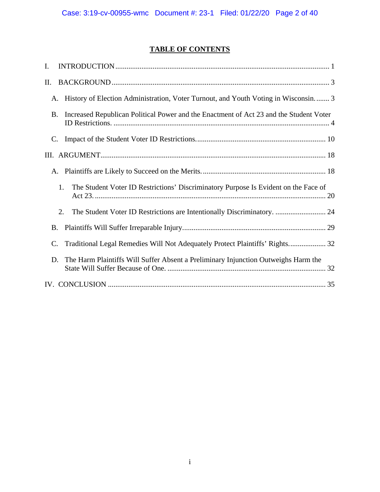# **TABLE OF CONTENTS**

| $\mathbf{I}$ .                                                                               |
|----------------------------------------------------------------------------------------------|
| II.                                                                                          |
| History of Election Administration, Voter Turnout, and Youth Voting in Wisconsin 3<br>A.     |
| Increased Republican Political Power and the Enactment of Act 23 and the Student Voter<br>Β. |
| $\mathbf{C}$ .                                                                               |
|                                                                                              |
| A.                                                                                           |
| The Student Voter ID Restrictions' Discriminatory Purpose Is Evident on the Face of<br>1.    |
| The Student Voter ID Restrictions are Intentionally Discriminatory.  24<br>2.                |
| B.                                                                                           |
| Traditional Legal Remedies Will Not Adequately Protect Plaintiffs' Rights 32<br>$\mathbf{C}$ |
| The Harm Plaintiffs Will Suffer Absent a Preliminary Injunction Outweighs Harm the<br>D.     |
|                                                                                              |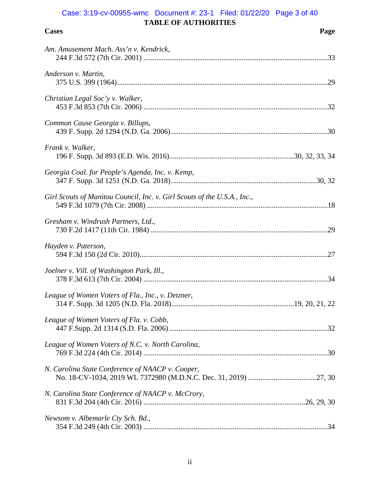# **TABLE OF AUTHORITIES** Case: 3:19-cv-00955-wmc Document #: 23-1 Filed: 01/22/20 Page 3 of 40

| <b>Cases</b> | Page |
|--------------|------|

| Am. Amusement Mach. Ass'n v. Kendrick,                                   |
|--------------------------------------------------------------------------|
| Anderson v. Martin,                                                      |
| Christian Legal Soc'y v. Walker,                                         |
| Common Cause Georgia v. Billups,                                         |
| Frank v. Walker,                                                         |
| Georgia Coal. for People's Agenda, Inc. v. Kemp,                         |
| Girl Scouts of Manitou Council, Inc. v. Girl Scouts of the U.S.A., Inc., |
| Gresham v. Windrush Partners, Ltd.,                                      |
|                                                                          |
| Hayden v. Paterson,                                                      |
| Joelner v. Vill. of Washington Park, Ill.,                               |
| League of Women Voters of Fla., Inc., v. Detzner,                        |
| League of Women Voters of Fla. v. Cobb,                                  |
| League of Women Voters of N.C. v. North Carolina,                        |
| N. Carolina State Conference of NAACP v. Cooper,                         |
| N. Carolina State Conference of NAACP v. McCrory,                        |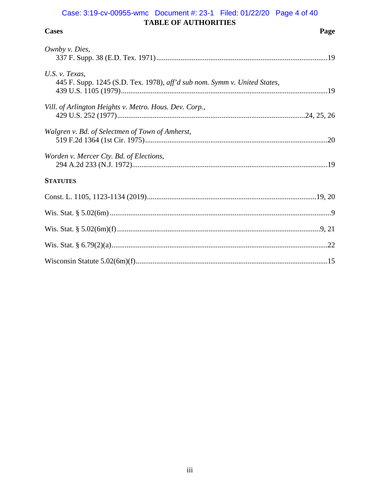# Case: 3:19-cv-00955-wmc Document #: 23-1 Filed: 01/22/20 Page 4 of 40 TABLE OF AUTHORITIES

| <b>Cases</b>                                                                                   | Page |
|------------------------------------------------------------------------------------------------|------|
| Ownby v. Dies,                                                                                 |      |
| U.S. $v$ . Texas,<br>445 F. Supp. 1245 (S.D. Tex. 1978), aff'd sub nom. Symm v. United States, |      |
| Vill. of Arlington Heights v. Metro. Hous. Dev. Corp.,                                         |      |
| Walgren v. Bd. of Selectmen of Town of Amherst,                                                |      |
| Worden v. Mercer Cty. Bd. of Elections,                                                        |      |
| <b>STATUTES</b>                                                                                |      |
|                                                                                                |      |
|                                                                                                |      |
|                                                                                                |      |
|                                                                                                |      |
|                                                                                                |      |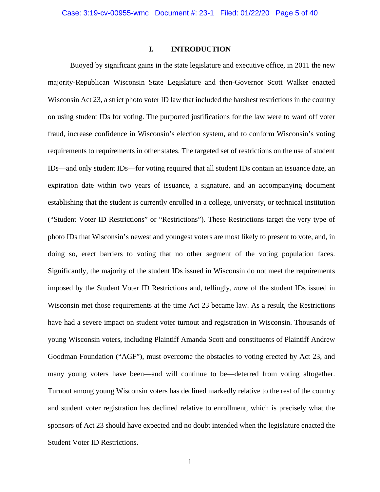### **I. INTRODUCTION**

<span id="page-7-0"></span>Buoyed by significant gains in the state legislature and executive office, in 2011 the new majority-Republican Wisconsin State Legislature and then-Governor Scott Walker enacted Wisconsin Act 23, a strict photo voter ID law that included the harshest restrictions in the country on using student IDs for voting. The purported justifications for the law were to ward off voter fraud, increase confidence in Wisconsin's election system, and to conform Wisconsin's voting requirements to requirements in other states. The targeted set of restrictions on the use of student IDs⸺and only student IDs⸺for voting required that all student IDs contain an issuance date, an expiration date within two years of issuance, a signature, and an accompanying document establishing that the student is currently enrolled in a college, university, or technical institution ("Student Voter ID Restrictions" or "Restrictions"). These Restrictions target the very type of photo IDs that Wisconsin's newest and youngest voters are most likely to present to vote, and, in doing so, erect barriers to voting that no other segment of the voting population faces. Significantly, the majority of the student IDs issued in Wisconsin do not meet the requirements imposed by the Student Voter ID Restrictions and, tellingly, *none* of the student IDs issued in Wisconsin met those requirements at the time Act 23 became law. As a result, the Restrictions have had a severe impact on student voter turnout and registration in Wisconsin. Thousands of young Wisconsin voters, including Plaintiff Amanda Scott and constituents of Plaintiff Andrew Goodman Foundation ("AGF"), must overcome the obstacles to voting erected by Act 23, and many young voters have been—and will continue to be—deterred from voting altogether. Turnout among young Wisconsin voters has declined markedly relative to the rest of the country and student voter registration has declined relative to enrollment, which is precisely what the sponsors of Act 23 should have expected and no doubt intended when the legislature enacted the Student Voter ID Restrictions.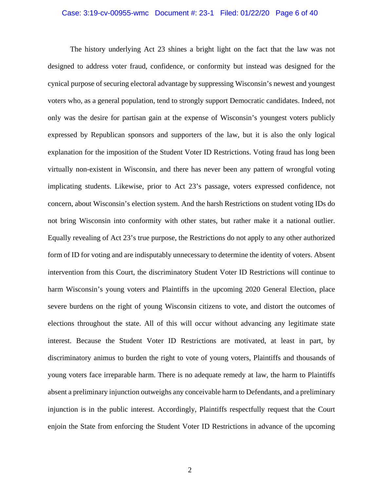#### Case: 3:19-cv-00955-wmc Document #: 23-1 Filed: 01/22/20 Page 6 of 40

The history underlying Act 23 shines a bright light on the fact that the law was not designed to address voter fraud, confidence, or conformity but instead was designed for the cynical purpose of securing electoral advantage by suppressing Wisconsin's newest and youngest voters who, as a general population, tend to strongly support Democratic candidates. Indeed, not only was the desire for partisan gain at the expense of Wisconsin's youngest voters publicly expressed by Republican sponsors and supporters of the law, but it is also the only logical explanation for the imposition of the Student Voter ID Restrictions. Voting fraud has long been virtually non-existent in Wisconsin, and there has never been any pattern of wrongful voting implicating students. Likewise, prior to Act 23's passage, voters expressed confidence, not concern, about Wisconsin's election system. And the harsh Restrictions on student voting IDs do not bring Wisconsin into conformity with other states, but rather make it a national outlier. Equally revealing of Act 23's true purpose, the Restrictions do not apply to any other authorized form of ID for voting and are indisputably unnecessary to determine the identity of voters. Absent intervention from this Court, the discriminatory Student Voter ID Restrictions will continue to harm Wisconsin's young voters and Plaintiffs in the upcoming 2020 General Election, place severe burdens on the right of young Wisconsin citizens to vote, and distort the outcomes of elections throughout the state. All of this will occur without advancing any legitimate state interest. Because the Student Voter ID Restrictions are motivated, at least in part, by discriminatory animus to burden the right to vote of young voters, Plaintiffs and thousands of young voters face irreparable harm. There is no adequate remedy at law, the harm to Plaintiffs absent a preliminary injunction outweighs any conceivable harm to Defendants, and a preliminary injunction is in the public interest. Accordingly, Plaintiffs respectfully request that the Court enjoin the State from enforcing the Student Voter ID Restrictions in advance of the upcoming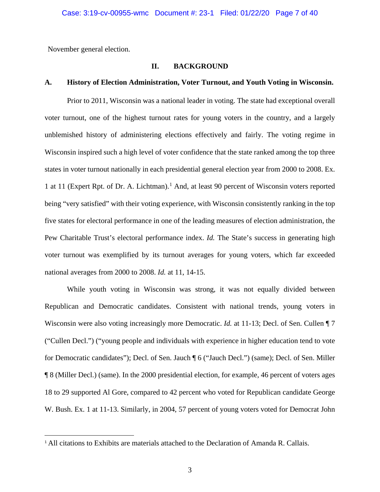<span id="page-9-0"></span>November general election.

## **II. BACKGROUND**

### <span id="page-9-1"></span>**A. History of Election Administration, Voter Turnout, and Youth Voting in Wisconsin.**

Prior to 2011, Wisconsin was a national leader in voting. The state had exceptional overall voter turnout, one of the highest turnout rates for young voters in the country, and a largely unblemished history of administering elections effectively and fairly. The voting regime in Wisconsin inspired such a high level of voter confidence that the state ranked among the top three states in voter turnout nationally in each presidential general election year from 2000 to 2008. Ex. 1 at 11 (Expert Rpt. of Dr. A. Lichtman). [1](#page-9-2) And, at least 90 percent of Wisconsin voters reported being "very satisfied" with their voting experience, with Wisconsin consistently ranking in the top five states for electoral performance in one of the leading measures of election administration, the Pew Charitable Trust's electoral performance index. *Id.* The State's success in generating high voter turnout was exemplified by its turnout averages for young voters, which far exceeded national averages from 2000 to 2008. *Id.* at 11, 14-15.

While youth voting in Wisconsin was strong, it was not equally divided between Republican and Democratic candidates. Consistent with national trends, young voters in Wisconsin were also voting increasingly more Democratic. *Id.* at 11-13; Decl. of Sen. Cullen  $\P$  7 ("Cullen Decl.") ("young people and individuals with experience in higher education tend to vote for Democratic candidates"); Decl. of Sen. Jauch ¶ 6 ("Jauch Decl.") (same); Decl. of Sen. Miller ¶ 8 (Miller Decl.) (same). In the 2000 presidential election, for example, 46 percent of voters ages 18 to 29 supported Al Gore, compared to 42 percent who voted for Republican candidate George W. Bush. Ex. 1 at 11-13. Similarly, in 2004, 57 percent of young voters voted for Democrat John

<span id="page-9-2"></span><sup>&</sup>lt;sup>1</sup> All citations to Exhibits are materials attached to the Declaration of Amanda R. Callais.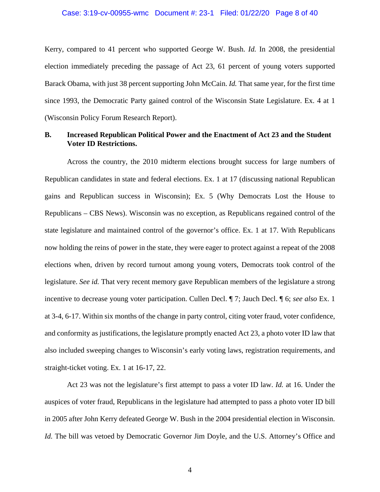#### Case: 3:19-cv-00955-wmc Document #: 23-1 Filed: 01/22/20 Page 8 of 40

Kerry, compared to 41 percent who supported George W. Bush. *Id.* In 2008, the presidential election immediately preceding the passage of Act 23, 61 percent of young voters supported Barack Obama, with just 38 percent supporting John McCain. *Id.* That same year, for the first time since 1993, the Democratic Party gained control of the Wisconsin State Legislature. Ex. 4 at 1 (Wisconsin Policy Forum Research Report).

### <span id="page-10-0"></span>**B. Increased Republican Political Power and the Enactment of Act 23 and the Student Voter ID Restrictions.**

Across the country, the 2010 midterm elections brought success for large numbers of Republican candidates in state and federal elections. Ex. 1 at 17 (discussing national Republican gains and Republican success in Wisconsin); Ex. 5 (Why Democrats Lost the House to Republicans – CBS News). Wisconsin was no exception, as Republicans regained control of the state legislature and maintained control of the governor's office. Ex. 1 at 17. With Republicans now holding the reins of power in the state, they were eager to protect against a repeat of the 2008 elections when, driven by record turnout among young voters, Democrats took control of the legislature. *See id.* That very recent memory gave Republican members of the legislature a strong incentive to decrease young voter participation. Cullen Decl. ¶ 7; Jauch Decl. ¶ 6; *see also* Ex. 1 at 3-4, 6-17. Within six months of the change in party control, citing voter fraud, voter confidence, and conformity as justifications, the legislature promptly enacted Act 23, a photo voter ID law that also included sweeping changes to Wisconsin's early voting laws, registration requirements, and straight-ticket voting. Ex. 1 at 16-17, 22.

Act 23 was not the legislature's first attempt to pass a voter ID law. *Id.* at 16. Under the auspices of voter fraud, Republicans in the legislature had attempted to pass a photo voter ID bill in 2005 after John Kerry defeated George W. Bush in the 2004 presidential election in Wisconsin. *Id.* The bill was vetoed by Democratic Governor Jim Doyle, and the U.S. Attorney's Office and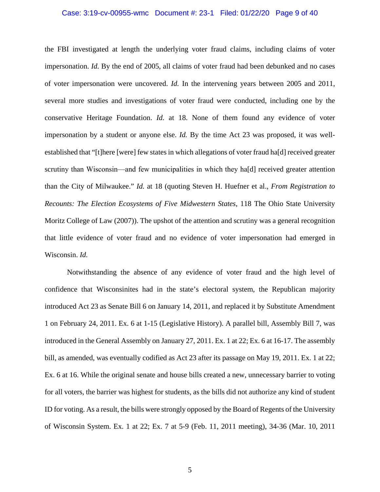#### Case: 3:19-cv-00955-wmc Document #: 23-1 Filed: 01/22/20 Page 9 of 40

the FBI investigated at length the underlying voter fraud claims, including claims of voter impersonation. *Id.* By the end of 2005, all claims of voter fraud had been debunked and no cases of voter impersonation were uncovered. *Id.* In the intervening years between 2005 and 2011, several more studies and investigations of voter fraud were conducted, including one by the conservative Heritage Foundation. *Id.* at 18. None of them found any evidence of voter impersonation by a student or anyone else. *Id.* By the time Act 23 was proposed, it was wellestablished that "[t]here [were] few states in which allegations of voter fraud ha[d] received greater scrutiny than Wisconsin—and few municipalities in which they hald received greater attention than the City of Milwaukee." *Id.* at 18 (quoting Steven H. Huefner et al., *From Registration to Recounts: The Election Ecosystems of Five Midwestern States*, 118 The Ohio State University Moritz College of Law (2007)). The upshot of the attention and scrutiny was a general recognition that little evidence of voter fraud and no evidence of voter impersonation had emerged in Wisconsin. *Id.*

Notwithstanding the absence of any evidence of voter fraud and the high level of confidence that Wisconsinites had in the state's electoral system, the Republican majority introduced Act 23 as Senate Bill 6 on January 14, 2011, and replaced it by Substitute Amendment 1 on February 24, 2011. Ex. 6 at 1-15 (Legislative History). A parallel bill, Assembly Bill 7, was introduced in the General Assembly on January 27, 2011. Ex. 1 at 22; Ex. 6 at 16-17. The assembly bill, as amended, was eventually codified as Act 23 after its passage on May 19, 2011. Ex. 1 at 22; Ex. 6 at 16. While the original senate and house bills created a new, unnecessary barrier to voting for all voters, the barrier was highest for students, as the bills did not authorize any kind of student ID for voting. As a result, the bills were strongly opposed by the Board of Regents of the University of Wisconsin System. Ex. 1 at 22; Ex. 7 at 5-9 (Feb. 11, 2011 meeting), 34-36 (Mar. 10, 2011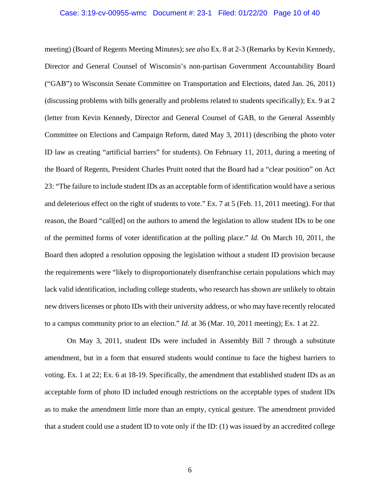#### Case: 3:19-cv-00955-wmc Document #: 23-1 Filed: 01/22/20 Page 10 of 40

meeting) (Board of Regents Meeting Minutes); *see also* Ex. 8 at 2-3 (Remarks by Kevin Kennedy, Director and General Counsel of Wisconsin's non-partisan Government Accountability Board ("GAB") to Wisconsin Senate Committee on Transportation and Elections, dated Jan. 26, 2011) (discussing problems with bills generally and problems related to students specifically); Ex. 9 at 2 (letter from Kevin Kennedy, Director and General Counsel of GAB, to the General Assembly Committee on Elections and Campaign Reform, dated May 3, 2011) (describing the photo voter ID law as creating "artificial barriers" for students). On February 11, 2011, during a meeting of the Board of Regents, President Charles Pruitt noted that the Board had a "clear position" on Act 23: "The failure to include student IDs as an acceptable form of identification would have a serious and deleterious effect on the right of students to vote." Ex. 7 at 5 (Feb. 11, 2011 meeting). For that reason, the Board "call[ed] on the authors to amend the legislation to allow student IDs to be one of the permitted forms of voter identification at the polling place." *Id.* On March 10, 2011, the Board then adopted a resolution opposing the legislation without a student ID provision because the requirements were "likely to disproportionately disenfranchise certain populations which may lack valid identification, including college students, who research has shown are unlikely to obtain new drivers licenses or photo IDs with their university address, or who may have recently relocated to a campus community prior to an election." *Id.* at 36 (Mar. 10, 2011 meeting); Ex. 1 at 22.

On May 3, 2011, student IDs were included in Assembly Bill 7 through a substitute amendment, but in a form that ensured students would continue to face the highest barriers to voting. Ex. 1 at 22; Ex. 6 at 18-19. Specifically, the amendment that established student IDs as an acceptable form of photo ID included enough restrictions on the acceptable types of student IDs as to make the amendment little more than an empty, cynical gesture. The amendment provided that a student could use a student ID to vote only if the ID: (1) was issued by an accredited college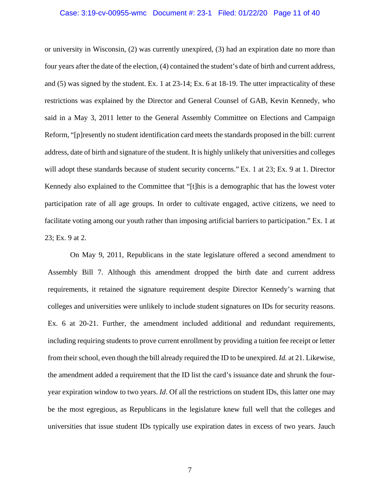#### Case: 3:19-cv-00955-wmc Document #: 23-1 Filed: 01/22/20 Page 11 of 40

or university in Wisconsin, (2) was currently unexpired, (3) had an expiration date no more than four years after the date of the election, (4) contained the student's date of birth and current address, and (5) was signed by the student. Ex. 1 at 23-14; Ex. 6 at 18-19. The utter impracticality of these restrictions was explained by the Director and General Counsel of GAB, Kevin Kennedy, who said in a May 3, 2011 letter to the General Assembly Committee on Elections and Campaign Reform, "[p]resently no student identification card meets the standards proposed in the bill: current address, date of birth and signature of the student. It is highly unlikely that universities and colleges will adopt these standards because of student security concerns." Ex. 1 at 23; Ex. 9 at 1. Director Kennedy also explained to the Committee that "[t]his is a demographic that has the lowest voter participation rate of all age groups. In order to cultivate engaged, active citizens, we need to facilitate voting among our youth rather than imposing artificial barriers to participation." Ex. 1 at 23; Ex. 9 at 2.

On May 9, 2011, Republicans in the state legislature offered a second amendment to Assembly Bill 7. Although this amendment dropped the birth date and current address requirements, it retained the signature requirement despite Director Kennedy's warning that colleges and universities were unlikely to include student signatures on IDs for security reasons. Ex. 6 at 20-21. Further, the amendment included additional and redundant requirements, including requiring students to prove current enrollment by providing a tuition fee receipt or letter from their school, even though the bill already required the ID to be unexpired. *Id.* at 21. Likewise, the amendment added a requirement that the ID list the card's issuance date and shrunk the fouryear expiration window to two years. *Id*. Of all the restrictions on student IDs, this latter one may be the most egregious, as Republicans in the legislature knew full well that the colleges and universities that issue student IDs typically use expiration dates in excess of two years. Jauch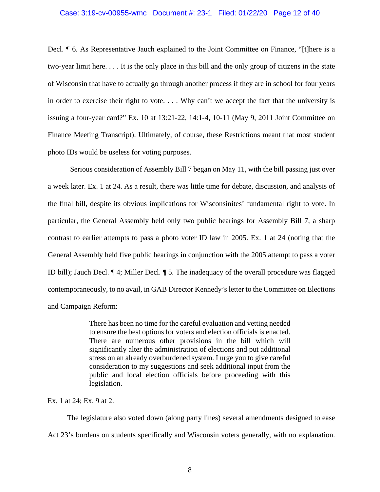#### Case: 3:19-cv-00955-wmc Document #: 23-1 Filed: 01/22/20 Page 12 of 40

Decl. ¶ 6. As Representative Jauch explained to the Joint Committee on Finance, "[t]here is a two-year limit here. . . . It is the only place in this bill and the only group of citizens in the state of Wisconsin that have to actually go through another process if they are in school for four years in order to exercise their right to vote. . . . Why can't we accept the fact that the university is issuing a four-year card?" Ex. 10 at 13:21-22, 14:1-4, 10-11 (May 9, 2011 Joint Committee on Finance Meeting Transcript). Ultimately, of course, these Restrictions meant that most student photo IDs would be useless for voting purposes.

Serious consideration of Assembly Bill 7 began on May 11, with the bill passing just over a week later. Ex. 1 at 24. As a result, there was little time for debate, discussion, and analysis of the final bill, despite its obvious implications for Wisconsinites' fundamental right to vote. In particular, the General Assembly held only two public hearings for Assembly Bill 7, a sharp contrast to earlier attempts to pass a photo voter ID law in 2005. Ex. 1 at 24 (noting that the General Assembly held five public hearings in conjunction with the 2005 attempt to pass a voter ID bill); Jauch Decl. ¶ 4; Miller Decl. ¶ 5. The inadequacy of the overall procedure was flagged contemporaneously, to no avail, in GAB Director Kennedy's letter to the Committee on Elections and Campaign Reform:

> There has been no time for the careful evaluation and vetting needed to ensure the best options for voters and election officials is enacted. There are numerous other provisions in the bill which will significantly alter the administration of elections and put additional stress on an already overburdened system. I urge you to give careful consideration to my suggestions and seek additional input from the public and local election officials before proceeding with this legislation.

Ex. 1 at 24; Ex. 9 at 2.

The legislature also voted down (along party lines) several amendments designed to ease Act 23's burdens on students specifically and Wisconsin voters generally, with no explanation.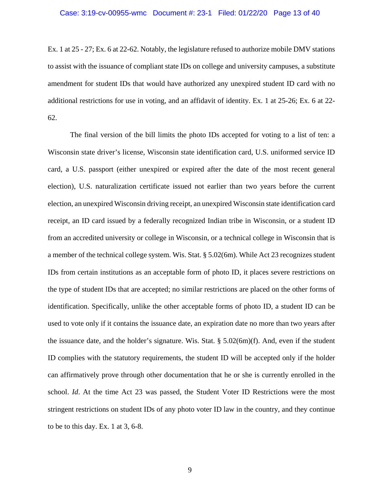#### Case: 3:19-cv-00955-wmc Document #: 23-1 Filed: 01/22/20 Page 13 of 40

Ex. 1 at 25 - 27; Ex. 6 at 22-62. Notably, the legislature refused to authorize mobile DMV stations to assist with the issuance of compliant state IDs on college and university campuses, a substitute amendment for student IDs that would have authorized any unexpired student ID card with no additional restrictions for use in voting, and an affidavit of identity. Ex. 1 at 25-26; Ex. 6 at 22- 62.

<span id="page-15-1"></span><span id="page-15-0"></span>The final version of the bill limits the photo IDs accepted for voting to a list of ten: a Wisconsin state driver's license, Wisconsin state identification card, U.S. uniformed service ID card, a U.S. passport (either unexpired or expired after the date of the most recent general election), U.S. naturalization certificate issued not earlier than two years before the current election, an unexpired Wisconsin driving receipt, an unexpired Wisconsin state identification card receipt, an ID card issued by a federally recognized Indian tribe in Wisconsin, or a student ID from an accredited university or college in Wisconsin, or a technical college in Wisconsin that is a member of the technical college system. Wis. Stat. § 5.02(6m). While Act 23 recognizes student IDs from certain institutions as an acceptable form of photo ID, it places severe restrictions on the type of student IDs that are accepted; no similar restrictions are placed on the other forms of identification. Specifically, unlike the other acceptable forms of photo ID, a student ID can be used to vote only if it contains the issuance date, an expiration date no more than two years after the issuance date, and the holder's signature. Wis. Stat.  $\S 5.02(6m)(f)$ . And, even if the student ID complies with the statutory requirements, the student ID will be accepted only if the holder can affirmatively prove through other documentation that he or she is currently enrolled in the school. *Id*. At the time Act 23 was passed, the Student Voter ID Restrictions were the most stringent restrictions on student IDs of any photo voter ID law in the country, and they continue to be to this day. Ex. 1 at 3, 6-8.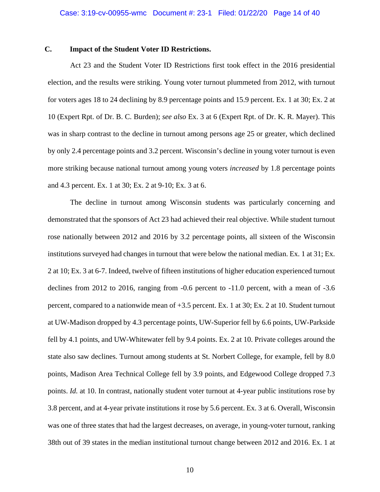## <span id="page-16-0"></span>**C. Impact of the Student Voter ID Restrictions.**

Act 23 and the Student Voter ID Restrictions first took effect in the 2016 presidential election, and the results were striking. Young voter turnout plummeted from 2012, with turnout for voters ages 18 to 24 declining by 8.9 percentage points and 15.9 percent. Ex. 1 at 30; Ex. 2 at 10 (Expert Rpt. of Dr. B. C. Burden); *see also* Ex. 3 at 6 (Expert Rpt. of Dr. K. R. Mayer). This was in sharp contrast to the decline in turnout among persons age 25 or greater, which declined by only 2.4 percentage points and 3.2 percent. Wisconsin's decline in young voter turnout is even more striking because national turnout among young voters *increased* by 1.8 percentage points and 4.3 percent. Ex. 1 at 30; Ex. 2 at 9-10; Ex. 3 at 6.

The decline in turnout among Wisconsin students was particularly concerning and demonstrated that the sponsors of Act 23 had achieved their real objective. While student turnout rose nationally between 2012 and 2016 by 3.2 percentage points, all sixteen of the Wisconsin institutions surveyed had changes in turnout that were below the national median. Ex. 1 at 31; Ex. 2 at 10; Ex. 3 at 6-7. Indeed, twelve of fifteen institutions of higher education experienced turnout declines from 2012 to 2016, ranging from -0.6 percent to -11.0 percent, with a mean of -3.6 percent, compared to a nationwide mean of +3.5 percent. Ex. 1 at 30; Ex. 2 at 10. Student turnout at UW-Madison dropped by 4.3 percentage points, UW-Superior fell by 6.6 points, UW-Parkside fell by 4.1 points, and UW-Whitewater fell by 9.4 points. Ex. 2 at 10. Private colleges around the state also saw declines. Turnout among students at St. Norbert College, for example, fell by 8.0 points, Madison Area Technical College fell by 3.9 points, and Edgewood College dropped 7.3 points. *Id.* at 10. In contrast, nationally student voter turnout at 4-year public institutions rose by 3.8 percent, and at 4-year private institutions it rose by 5.6 percent. Ex. 3 at 6. Overall, Wisconsin was one of three states that had the largest decreases, on average, in young-voter turnout, ranking 38th out of 39 states in the median institutional turnout change between 2012 and 2016. Ex. 1 at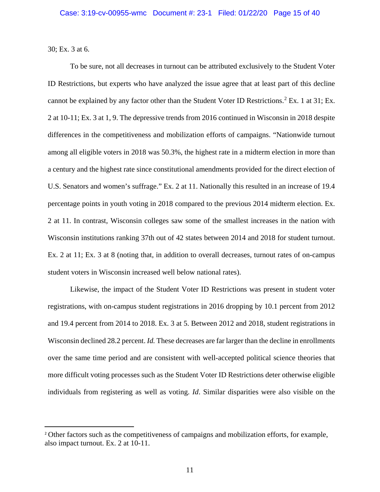30; Ex. 3 at 6.

To be sure, not all decreases in turnout can be attributed exclusively to the Student Voter ID Restrictions, but experts who have analyzed the issue agree that at least part of this decline cannot be explained by any factor other than the Student Voter ID Restrictions.<sup>[2](#page-17-0)</sup> Ex. 1 at 31; Ex. 2 at 10-11; Ex. 3 at 1, 9. The depressive trends from 2016 continued in Wisconsin in 2018 despite differences in the competitiveness and mobilization efforts of campaigns. "Nationwide turnout among all eligible voters in 2018 was 50.3%, the highest rate in a midterm election in more than a century and the highest rate since constitutional amendments provided for the direct election of U.S. Senators and women's suffrage." Ex. 2 at 11. Nationally this resulted in an increase of 19.4 percentage points in youth voting in 2018 compared to the previous 2014 midterm election. Ex. 2 at 11. In contrast, Wisconsin colleges saw some of the smallest increases in the nation with Wisconsin institutions ranking 37th out of 42 states between 2014 and 2018 for student turnout. Ex. 2 at 11; Ex. 3 at 8 (noting that, in addition to overall decreases, turnout rates of on-campus student voters in Wisconsin increased well below national rates).

Likewise, the impact of the Student Voter ID Restrictions was present in student voter registrations, with on-campus student registrations in 2016 dropping by 10.1 percent from 2012 and 19.4 percent from 2014 to 2018. Ex. 3 at 5. Between 2012 and 2018, student registrations in Wisconsin declined 28.2 percent. *Id.* These decreases are far larger than the decline in enrollments over the same time period and are consistent with well-accepted political science theories that more difficult voting processes such as the Student Voter ID Restrictions deter otherwise eligible individuals from registering as well as voting. *Id*. Similar disparities were also visible on the

<span id="page-17-0"></span><sup>&</sup>lt;sup>2</sup> Other factors such as the competitiveness of campaigns and mobilization efforts, for example, also impact turnout. Ex. 2 at 10-11.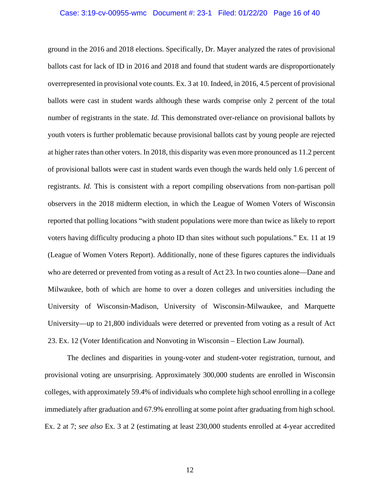#### Case: 3:19-cv-00955-wmc Document #: 23-1 Filed: 01/22/20 Page 16 of 40

ground in the 2016 and 2018 elections. Specifically, Dr. Mayer analyzed the rates of provisional ballots cast for lack of ID in 2016 and 2018 and found that student wards are disproportionately overrepresented in provisional vote counts. Ex. 3 at 10. Indeed, in 2016, 4.5 percent of provisional ballots were cast in student wards although these wards comprise only 2 percent of the total number of registrants in the state. *Id.* This demonstrated over-reliance on provisional ballots by youth voters is further problematic because provisional ballots cast by young people are rejected at higher rates than other voters. In 2018, this disparity was even more pronounced as 11.2 percent of provisional ballots were cast in student wards even though the wards held only 1.6 percent of registrants. *Id.* This is consistent with a report compiling observations from non-partisan poll observers in the 2018 midterm election, in which the League of Women Voters of Wisconsin reported that polling locations "with student populations were more than twice as likely to report voters having difficulty producing a photo ID than sites without such populations." Ex. 11 at 19 (League of Women Voters Report). Additionally, none of these figures captures the individuals who are deterred or prevented from voting as a result of Act 23. In two counties alone—Dane and Milwaukee, both of which are home to over a dozen colleges and universities including the University of Wisconsin-Madison, University of Wisconsin-Milwaukee, and Marquette University—up to 21,800 individuals were deterred or prevented from voting as a result of Act 23. Ex. 12 (Voter Identification and Nonvoting in Wisconsin – Election Law Journal).

The declines and disparities in young-voter and student-voter registration, turnout, and provisional voting are unsurprising. Approximately 300,000 students are enrolled in Wisconsin colleges, with approximately 59.4% of individuals who complete high school enrolling in a college immediately after graduation and 67.9% enrolling at some point after graduating from high school. Ex. 2 at 7; *see also* Ex. 3 at 2 (estimating at least 230,000 students enrolled at 4-year accredited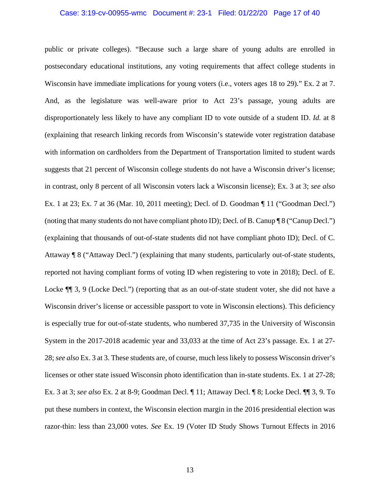#### Case: 3:19-cv-00955-wmc Document #: 23-1 Filed: 01/22/20 Page 17 of 40

public or private colleges). "Because such a large share of young adults are enrolled in postsecondary educational institutions, any voting requirements that affect college students in Wisconsin have immediate implications for young voters (i.e., voters ages 18 to 29)." Ex. 2 at 7. And, as the legislature was well-aware prior to Act 23's passage, young adults are disproportionately less likely to have any compliant ID to vote outside of a student ID. *Id.* at 8 (explaining that research linking records from Wisconsin's statewide voter registration database with information on cardholders from the Department of Transportation limited to student wards suggests that 21 percent of Wisconsin college students do not have a Wisconsin driver's license; in contrast, only 8 percent of all Wisconsin voters lack a Wisconsin license); Ex. 3 at 3; *see also* Ex. 1 at 23; Ex. 7 at 36 (Mar. 10, 2011 meeting); Decl. of D. Goodman ¶ 11 ("Goodman Decl.") (noting that many students do not have compliant photo ID); Decl. of B. Canup ¶ 8 ("Canup Decl.") (explaining that thousands of out-of-state students did not have compliant photo ID); Decl. of C. Attaway ¶ 8 ("Attaway Decl.") (explaining that many students, particularly out-of-state students, reported not having compliant forms of voting ID when registering to vote in 2018); Decl. of E. Locke  $\P$  3, 9 (Locke Decl.") (reporting that as an out-of-state student voter, she did not have a Wisconsin driver's license or accessible passport to vote in Wisconsin elections). This deficiency is especially true for out-of-state students, who numbered 37,735 in the University of Wisconsin System in the 2017-2018 academic year and 33,033 at the time of Act 23's passage. Ex. 1 at 27- 28; *see also* Ex. 3 at 3. These students are, of course, much less likely to possess Wisconsin driver's licenses or other state issued Wisconsin photo identification than in-state students. Ex. 1 at 27-28; Ex. 3 at 3; *see also* Ex. 2 at 8-9; Goodman Decl. ¶ 11; Attaway Decl. ¶ 8; Locke Decl. ¶¶ 3, 9. To put these numbers in context, the Wisconsin election margin in the 2016 presidential election was razor-thin: less than 23,000 votes. *See* Ex. 19 (Voter ID Study Shows Turnout Effects in 2016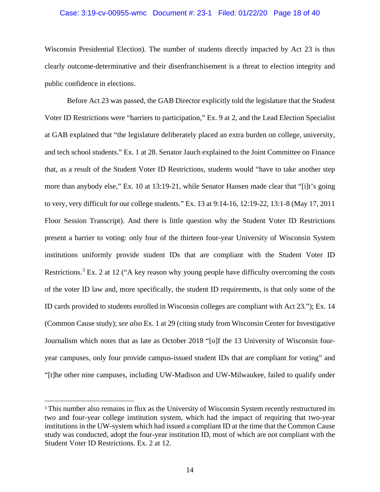#### Case: 3:19-cv-00955-wmc Document #: 23-1 Filed: 01/22/20 Page 18 of 40

Wisconsin Presidential Election). The number of students directly impacted by Act 23 is thus clearly outcome-determinative and their disenfranchisement is a threat to election integrity and public confidence in elections.

Before Act 23 was passed, the GAB Director explicitly told the legislature that the Student Voter ID Restrictions were "barriers to participation," Ex. 9 at 2, and the Lead Election Specialist at GAB explained that "the legislature deliberately placed an extra burden on college, university, and tech school students." Ex. 1 at 28. Senator Jauch explained to the Joint Committee on Finance that, as a result of the Student Voter ID Restrictions, students would "have to take another step more than anybody else," Ex. 10 at 13:19-21, while Senator Hansen made clear that "[i]t's going to very, very difficult for our college students." Ex. 13 at 9:14-16, 12:19-22, 13:1-8 (May 17, 2011 Floor Session Transcript). And there is little question why the Student Voter ID Restrictions present a barrier to voting: only four of the thirteen four-year University of Wisconsin System institutions uniformly provide student IDs that are compliant with the Student Voter ID Restrictions.<sup>[3](#page-20-0)</sup> Ex. 2 at 12 ("A key reason why young people have difficulty overcoming the costs of the voter ID law and, more specifically, the student ID requirements, is that only some of the ID cards provided to students enrolled in Wisconsin colleges are compliant with Act 23."); Ex. 14 (Common Cause study); *see also* Ex. 1 at 29 (citing study from Wisconsin Center for Investigative Journalism which notes that as late as October 2018 "[o]f the 13 University of Wisconsin fouryear campuses, only four provide campus-issued student IDs that are compliant for voting" and "[t]he other nine campuses, including UW-Madison and UW-Milwaukee, failed to qualify under

<span id="page-20-0"></span><sup>&</sup>lt;sup>3</sup> This number also remains in flux as the University of Wisconsin System recently restructured its two and four-year college institution system, which had the impact of requiring that two-year institutions in the UW-system which had issued a compliant ID at the time that the Common Cause study was conducted, adopt the four-year institution ID, most of which are not compliant with the Student Voter ID Restrictions. Ex. 2 at 12.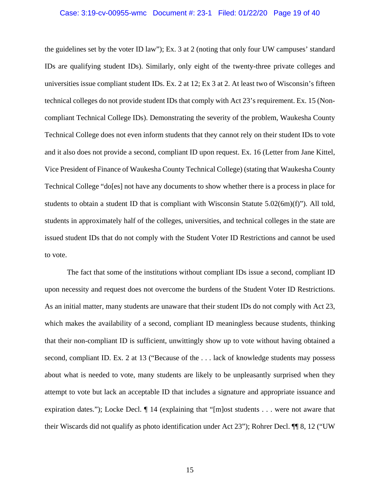#### Case: 3:19-cv-00955-wmc Document #: 23-1 Filed: 01/22/20 Page 19 of 40

the guidelines set by the voter ID law"); Ex. 3 at 2 (noting that only four UW campuses' standard IDs are qualifying student IDs). Similarly, only eight of the twenty-three private colleges and universities issue compliant student IDs. Ex. 2 at 12; Ex 3 at 2. At least two of Wisconsin's fifteen technical colleges do not provide student IDs that comply with Act 23's requirement. Ex. 15 (Noncompliant Technical College IDs). Demonstrating the severity of the problem, Waukesha County Technical College does not even inform students that they cannot rely on their student IDs to vote and it also does not provide a second, compliant ID upon request. Ex. 16 (Letter from Jane Kittel, Vice President of Finance of Waukesha County Technical College) (stating that Waukesha County Technical College "do[es] not have any documents to show whether there is a process in place for students to obtain a student ID that is compliant with Wisconsin Statute  $5.02(6m)(f)$ "). All told, students in approximately half of the colleges, universities, and technical colleges in the state are issued student IDs that do not comply with the Student Voter ID Restrictions and cannot be used to vote.

<span id="page-21-0"></span>The fact that some of the institutions without compliant IDs issue a second, compliant ID upon necessity and request does not overcome the burdens of the Student Voter ID Restrictions. As an initial matter, many students are unaware that their student IDs do not comply with Act 23, which makes the availability of a second, compliant ID meaningless because students, thinking that their non-compliant ID is sufficient, unwittingly show up to vote without having obtained a second, compliant ID. Ex. 2 at 13 ("Because of the . . . lack of knowledge students may possess about what is needed to vote, many students are likely to be unpleasantly surprised when they attempt to vote but lack an acceptable ID that includes a signature and appropriate issuance and expiration dates."); Locke Decl. ¶ 14 (explaining that "[m]ost students . . . were not aware that their Wiscards did not qualify as photo identification under Act 23"); Rohrer Decl. ¶¶ 8, 12 ("UW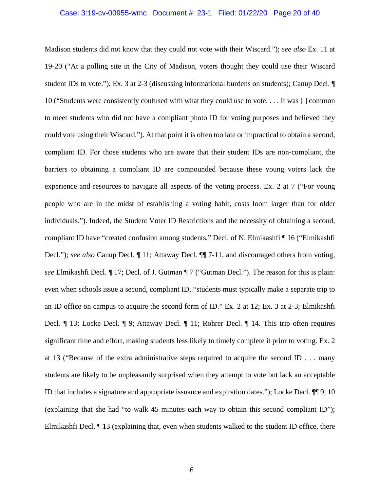#### Case: 3:19-cv-00955-wmc Document #: 23-1 Filed: 01/22/20 Page 20 of 40

Madison students did not know that they could not vote with their Wiscard."); *see also* Ex. 11 at 19-20 ("At a polling site in the City of Madison, voters thought they could use their Wiscard student IDs to vote."); Ex. 3 at 2-3 (discussing informational burdens on students); Canup Decl. ¶ 10 ("Students were consistently confused with what they could use to vote. . . . It was [ ] common to meet students who did not have a compliant photo ID for voting purposes and believed they could vote using their Wiscard."). At that point it is often too late or impractical to obtain a second, compliant ID. For those students who are aware that their student IDs are non-compliant, the barriers to obtaining a compliant ID are compounded because these young voters lack the experience and resources to navigate all aspects of the voting process. Ex. 2 at 7 ("For young people who are in the midst of establishing a voting habit, costs loom larger than for older individuals."). Indeed, the Student Voter ID Restrictions and the necessity of obtaining a second, compliant ID have "created confusion among students," Decl. of N. Elmikashfi ¶ 16 ("Elmikashfi Decl."); *see also* Canup Decl. ¶ 11; Attaway Decl. ¶¶ 7-11, and discouraged others from voting, *see* Elmikashfi Decl. ¶ 17; Decl. of J. Gutman ¶ 7 ("Gutman Decl."). The reason for this is plain: even when schools issue a second, compliant ID, "students must typically make a separate trip to an ID office on campus to acquire the second form of ID." Ex. 2 at 12; Ex. 3 at 2-3; Elmikashfi Decl. ¶ 13; Locke Decl. ¶ 9; Attaway Decl. ¶ 11; Rohrer Decl. ¶ 14. This trip often requires significant time and effort, making students less likely to timely complete it prior to voting. Ex. 2 at 13 ("Because of the extra administrative steps required to acquire the second ID . . . many students are likely to be unpleasantly surprised when they attempt to vote but lack an acceptable ID that includes a signature and appropriate issuance and expiration dates."); Locke Decl. ¶¶ 9, 10 (explaining that she had "to walk 45 minutes each way to obtain this second compliant ID"); Elmikashfi Decl. ¶ 13 (explaining that, even when students walked to the student ID office, there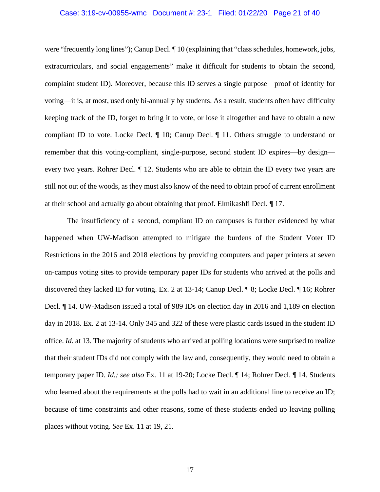#### Case: 3:19-cv-00955-wmc Document #: 23-1 Filed: 01/22/20 Page 21 of 40

were "frequently long lines"); Canup Decl. ¶ 10 (explaining that "class schedules, homework, jobs, extracurriculars, and social engagements" make it difficult for students to obtain the second, complaint student ID). Moreover, because this ID serves a single purpose⸺proof of identity for voting⸺it is, at most, used only bi-annually by students. As a result, students often have difficulty keeping track of the ID, forget to bring it to vote, or lose it altogether and have to obtain a new compliant ID to vote. Locke Decl. ¶ 10; Canup Decl. ¶ 11. Others struggle to understand or remember that this voting-compliant, single-purpose, second student ID expires—by design every two years. Rohrer Decl. ¶ 12. Students who are able to obtain the ID every two years are still not out of the woods, as they must also know of the need to obtain proof of current enrollment at their school and actually go about obtaining that proof. Elmikashfi Decl. ¶ 17.

The insufficiency of a second, compliant ID on campuses is further evidenced by what happened when UW-Madison attempted to mitigate the burdens of the Student Voter ID Restrictions in the 2016 and 2018 elections by providing computers and paper printers at seven on-campus voting sites to provide temporary paper IDs for students who arrived at the polls and discovered they lacked ID for voting. Ex. 2 at 13-14; Canup Decl. ¶ 8; Locke Decl. ¶ 16; Rohrer Decl. ¶ 14. UW-Madison issued a total of 989 IDs on election day in 2016 and 1,189 on election day in 2018. Ex. 2 at 13-14. Only 345 and 322 of these were plastic cards issued in the student ID office. *Id.* at 13. The majority of students who arrived at polling locations were surprised to realize that their student IDs did not comply with the law and, consequently, they would need to obtain a temporary paper ID. *Id.; see also* Ex. 11 at 19-20; Locke Decl. ¶ 14; Rohrer Decl. ¶ 14. Students who learned about the requirements at the polls had to wait in an additional line to receive an ID; because of time constraints and other reasons, some of these students ended up leaving polling places without voting. *See* Ex. 11 at 19, 21.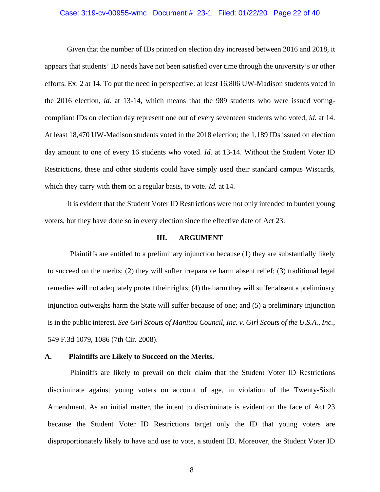#### Case: 3:19-cv-00955-wmc Document #: 23-1 Filed: 01/22/20 Page 22 of 40

Given that the number of IDs printed on election day increased between 2016 and 2018, it appears that students' ID needs have not been satisfied over time through the university's or other efforts. Ex. 2 at 14. To put the need in perspective: at least 16,806 UW-Madison students voted in the 2016 election, *id.* at 13-14, which means that the 989 students who were issued votingcompliant IDs on election day represent one out of every seventeen students who voted, *id.* at 14. At least 18,470 UW-Madison students voted in the 2018 election; the 1,189 IDs issued on election day amount to one of every 16 students who voted. *Id.* at 13-14. Without the Student Voter ID Restrictions, these and other students could have simply used their standard campus Wiscards, which they carry with them on a regular basis, to vote. *Id.* at 14.

It is evident that the Student Voter ID Restrictions were not only intended to burden young voters, but they have done so in every election since the effective date of Act 23.

#### <span id="page-24-2"></span>**III. ARGUMENT**

<span id="page-24-0"></span>Plaintiffs are entitled to a preliminary injunction because (1) they are substantially likely to succeed on the merits; (2) they will suffer irreparable harm absent relief; (3) traditional legal remedies will not adequately protect their rights; (4) the harm they will suffer absent a preliminary injunction outweighs harm the State will suffer because of one; and (5) a preliminary injunction is in the public interest. *See Girl Scouts of Manitou Council, Inc. v. Girl Scouts of the U.S.A., Inc.*, 549 F.3d 1079, 1086 (7th Cir. 2008).

#### <span id="page-24-1"></span>**A. Plaintiffs are Likely to Succeed on the Merits.**

Plaintiffs are likely to prevail on their claim that the Student Voter ID Restrictions discriminate against young voters on account of age, in violation of the Twenty-Sixth Amendment. As an initial matter, the intent to discriminate is evident on the face of Act 23 because the Student Voter ID Restrictions target only the ID that young voters are disproportionately likely to have and use to vote, a student ID. Moreover, the Student Voter ID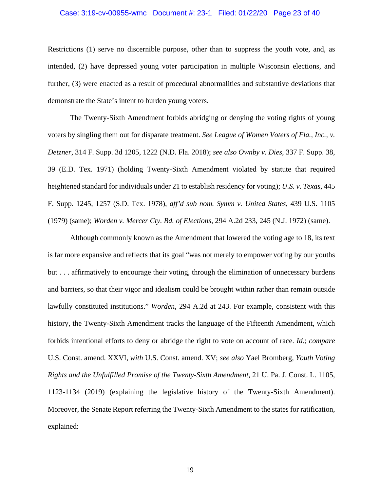#### Case: 3:19-cv-00955-wmc Document #: 23-1 Filed: 01/22/20 Page 23 of 40

Restrictions (1) serve no discernible purpose, other than to suppress the youth vote, and, as intended, (2) have depressed young voter participation in multiple Wisconsin elections, and further, (3) were enacted as a result of procedural abnormalities and substantive deviations that demonstrate the State's intent to burden young voters.

<span id="page-25-1"></span><span id="page-25-0"></span>The Twenty-Sixth Amendment forbids abridging or denying the voting rights of young voters by singling them out for disparate treatment. *See League of Women Voters of Fla., Inc., v. Detzner*, 314 F. Supp. 3d 1205, 1222 (N.D. Fla. 2018); *see also Ownby v. Dies*, 337 F. Supp. 38, 39 (E.D. Tex. 1971) (holding Twenty-Sixth Amendment violated by statute that required heightened standard for individuals under 21 to establish residency for voting); *U.S. v. Texas*, 445 F. Supp. 1245, 1257 (S.D. Tex. 1978), *aff'd sub nom. Symm v. United States*, 439 U.S. 1105 (1979) (same); *Worden v. Mercer Cty. Bd. of Elections*, 294 A.2d 233, 245 (N.J. 1972) (same).

<span id="page-25-4"></span><span id="page-25-3"></span><span id="page-25-2"></span>Although commonly known as the Amendment that lowered the voting age to 18, its text is far more expansive and reflects that its goal "was not merely to empower voting by our youths but . . . affirmatively to encourage their voting, through the elimination of unnecessary burdens and barriers, so that their vigor and idealism could be brought within rather than remain outside lawfully constituted institutions." *Worden*, 294 A.2d at 243. For example, consistent with this history, the Twenty-Sixth Amendment tracks the language of the Fifteenth Amendment, which forbids intentional efforts to deny or abridge the right to vote on account of race. *Id.*; *compare*  U.S. Const. amend. XXVI, *with* U.S. Const. amend. XV; *see also* Yael Bromberg, *Youth Voting Rights and the Unfulfilled Promise of the Twenty-Sixth Amendment*, 21 U. Pa. J. Const. L. 1105, 1123-1134 (2019) (explaining the legislative history of the Twenty-Sixth Amendment). Moreover, the Senate Report referring the Twenty-Sixth Amendment to the states for ratification, explained: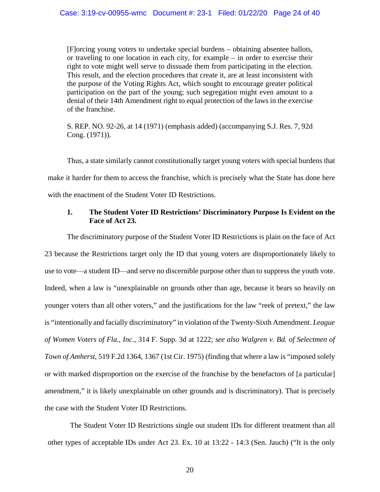[F]orcing young voters to undertake special burdens – obtaining absentee ballots, or traveling to one location in each city, for example – in order to exercise their right to vote might well serve to dissuade them from participating in the election. This result, and the election procedures that create it, are at least inconsistent with the purpose of the Voting Rights Act, which sought to encourage greater political participation on the part of the young; such segregation might even amount to a denial of their 14th Amendment right to equal protection of the laws in the exercise of the franchise.

S. REP. NO. 92-26, at 14 (1971) (emphasis added) (accompanying S.J. Res. 7, 92d Cong. (1971)).

Thus, a state similarly cannot constitutionally target young voters with special burdens that make it harder for them to access the franchise, which is precisely what the State has done here with the enactment of the Student Voter ID Restrictions.

## <span id="page-26-3"></span><span id="page-26-1"></span><span id="page-26-0"></span>**1. The Student Voter ID Restrictions' Discriminatory Purpose Is Evident on the Face of Act 23.**

The discriminatory purpose of the Student Voter ID Restrictions is plain on the face of Act 23 because the Restrictions target only the ID that young voters are disproportionately likely to use to vote⸺a student ID⸺and serve no discernible purpose other than to suppress the youth vote. Indeed, when a law is "unexplainable on grounds other than age, because it bears so heavily on younger voters than all other voters," and the justifications for the law "reek of pretext," the law is "intentionally and facially discriminatory" in violation of the Twenty-Sixth Amendment. *League of Women Voters of Fla., Inc.*, 314 F. Supp. 3d at 1222; *see also Walgren v. Bd. of Selectmen of Town of Amherst*, 519 F.2d 1364, 1367 (1st Cir. 1975) (finding that where a law is "imposed solely or with marked disproportion on the exercise of the franchise by the benefactors of [a particular] amendment," it is likely unexplainable on other grounds and is discriminatory). That is precisely the case with the Student Voter ID Restrictions.

<span id="page-26-2"></span>The Student Voter ID Restrictions single out student IDs for different treatment than all other types of acceptable IDs under Act 23. Ex. 10 at 13:22 - 14:3 (Sen. Jauch) ("It is the only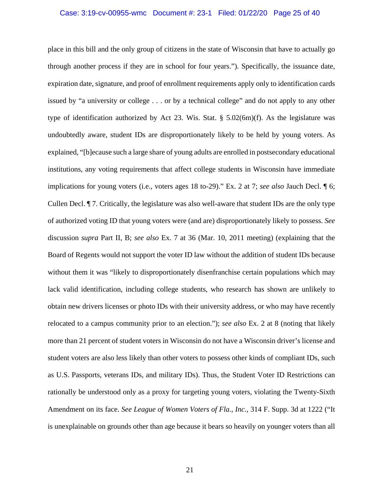#### Case: 3:19-cv-00955-wmc Document #: 23-1 Filed: 01/22/20 Page 25 of 40

<span id="page-27-1"></span><span id="page-27-0"></span>place in this bill and the only group of citizens in the state of Wisconsin that have to actually go through another process if they are in school for four years."). Specifically, the issuance date, expiration date, signature, and proof of enrollment requirements apply only to identification cards issued by "a university or college . . . or by a technical college" and do not apply to any other type of identification authorized by Act 23. Wis. Stat.  $\S$  5.02(6m)(f). As the legislature was undoubtedly aware, student IDs are disproportionately likely to be held by young voters. As explained, "[b]ecause such a large share of young adults are enrolled in postsecondary educational institutions, any voting requirements that affect college students in Wisconsin have immediate implications for young voters (i.e., voters ages 18 to-29)." Ex. 2 at 7; *see also* Jauch Decl. ¶ 6; Cullen Decl. ¶ 7. Critically, the legislature was also well-aware that student IDs are the only type of authorized voting ID that young voters were (and are) disproportionately likely to possess. *See* discussion *supra* Part II, B; *see also* Ex. 7 at 36 (Mar. 10, 2011 meeting) (explaining that the Board of Regents would not support the voter ID law without the addition of student IDs because without them it was "likely to disproportionately disenfranchise certain populations which may lack valid identification, including college students, who research has shown are unlikely to obtain new drivers licenses or photo IDs with their university address, or who may have recently relocated to a campus community prior to an election."); *see also* Ex. 2 at 8 (noting that likely more than 21 percent of student voters in Wisconsin do not have a Wisconsin driver's license and student voters are also less likely than other voters to possess other kinds of compliant IDs, such as U.S. Passports, veterans IDs, and military IDs). Thus, the Student Voter ID Restrictions can rationally be understood only as a proxy for targeting young voters, violating the Twenty-Sixth Amendment on its face. *See League of Women Voters of Fla., Inc.*, 314 F. Supp. 3d at 1222 ("It is unexplainable on grounds other than age because it bears so heavily on younger voters than all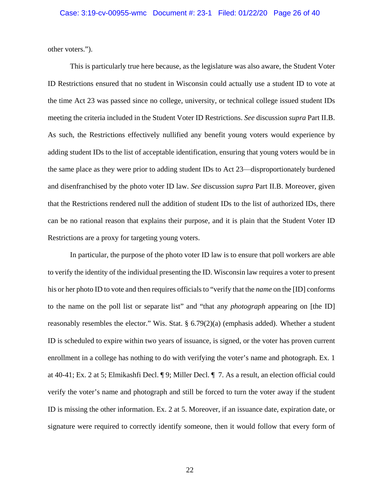other voters.").

<span id="page-28-0"></span>This is particularly true here because, as the legislature was also aware, the Student Voter ID Restrictions ensured that no student in Wisconsin could actually use a student ID to vote at the time Act 23 was passed since no college, university, or technical college issued student IDs meeting the criteria included in the Student Voter ID Restrictions. *See* discussion *supra* Part II.B. As such, the Restrictions effectively nullified any benefit young voters would experience by adding student IDs to the list of acceptable identification, ensuring that young voters would be in the same place as they were prior to adding student IDs to Act 23⸺disproportionately burdened and disenfranchised by the photo voter ID law. *See* discussion *supra* Part II.B. Moreover, given that the Restrictions rendered null the addition of student IDs to the list of authorized IDs, there can be no rational reason that explains their purpose, and it is plain that the Student Voter ID Restrictions are a proxy for targeting young voters.

<span id="page-28-1"></span>In particular, the purpose of the photo voter ID law is to ensure that poll workers are able to verify the identity of the individual presenting the ID. Wisconsin law requires a voter to present his or her photo ID to vote and then requires officials to "verify that the *name* on the [ID] conforms to the name on the poll list or separate list" and "that any *photograph* appearing on [the ID] reasonably resembles the elector." Wis. Stat. § 6.79(2)(a) (emphasis added). Whether a student ID is scheduled to expire within two years of issuance, is signed, or the voter has proven current enrollment in a college has nothing to do with verifying the voter's name and photograph. Ex. 1 at 40-41; Ex. 2 at 5; Elmikashfi Decl. ¶ 9; Miller Decl. ¶ 7. As a result, an election official could verify the voter's name and photograph and still be forced to turn the voter away if the student ID is missing the other information. Ex. 2 at 5. Moreover, if an issuance date, expiration date, or signature were required to correctly identify someone, then it would follow that every form of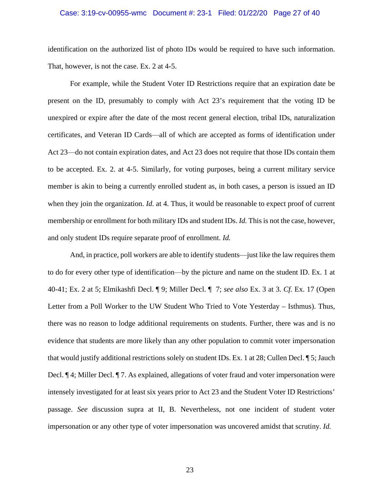#### Case: 3:19-cv-00955-wmc Document #: 23-1 Filed: 01/22/20 Page 27 of 40

identification on the authorized list of photo IDs would be required to have such information. That, however, is not the case. Ex. 2 at 4-5.

For example, while the Student Voter ID Restrictions require that an expiration date be present on the ID, presumably to comply with Act 23's requirement that the voting ID be unexpired or expire after the date of the most recent general election, tribal IDs, naturalization certificates, and Veteran ID Cards⸺all of which are accepted as forms of identification under Act 23—do not contain expiration dates, and Act 23 does not require that those IDs contain them to be accepted. Ex. 2. at 4-5. Similarly, for voting purposes, being a current military service member is akin to being a currently enrolled student as, in both cases, a person is issued an ID when they join the organization. *Id.* at 4. Thus, it would be reasonable to expect proof of current membership or enrollment for both military IDs and student IDs. *Id.* This is not the case, however, and only student IDs require separate proof of enrollment. *Id.*

And, in practice, poll workers are able to identify students⸺just like the law requires them to do for every other type of identification⸺by the picture and name on the student ID. Ex. 1 at 40-41; Ex. 2 at 5; Elmikashfi Decl. ¶ 9; Miller Decl. ¶ 7; *see also* Ex. 3 at 3. *Cf.* Ex. 17 (Open Letter from a Poll Worker to the UW Student Who Tried to Vote Yesterday – Isthmus). Thus, there was no reason to lodge additional requirements on students. Further, there was and is no evidence that students are more likely than any other population to commit voter impersonation that would justify additional restrictions solely on student IDs. Ex. 1 at 28; Cullen Decl. ¶ 5; Jauch Decl. ¶ 4; Miller Decl. ¶ 7. As explained, allegations of voter fraud and voter impersonation were intensely investigated for at least six years prior to Act 23 and the Student Voter ID Restrictions' passage. *See* discussion supra at II, B. Nevertheless, not one incident of student voter impersonation or any other type of voter impersonation was uncovered amidst that scrutiny. *Id.*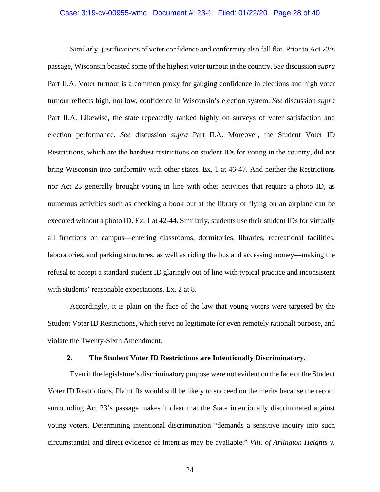#### Case: 3:19-cv-00955-wmc Document #: 23-1 Filed: 01/22/20 Page 28 of 40

Similarly, justifications of voter confidence and conformity also fall flat. Prior to Act 23's passage, Wisconsin boasted some of the highest voter turnout in the country. *See* discussion *supra*  Part II.A. Voter turnout is a common proxy for gauging confidence in elections and high voter turnout reflects high, not low, confidence in Wisconsin's election system. *See* discussion *supra*  Part II.A. Likewise, the state repeatedly ranked highly on surveys of voter satisfaction and election performance. *See* discussion *supra* Part II.A. Moreover, the Student Voter ID Restrictions, which are the harshest restrictions on student IDs for voting in the country, did not bring Wisconsin into conformity with other states. Ex. 1 at 46-47. And neither the Restrictions nor Act 23 generally brought voting in line with other activities that require a photo ID, as numerous activities such as checking a book out at the library or flying on an airplane can be executed without a photo ID. Ex. 1 at 42-44. Similarly, students use their student IDs for virtually all functions on campus—entering classrooms, dormitories, libraries, recreational facilities, laboratories, and parking structures, as well as riding the bus and accessing money—making the refusal to accept a standard student ID glaringly out of line with typical practice and inconsistent with students' reasonable expectations. Ex. 2 at 8.

Accordingly, it is plain on the face of the law that young voters were targeted by the Student Voter ID Restrictions, which serve no legitimate (or even remotely rational) purpose, and violate the Twenty-Sixth Amendment.

### <span id="page-30-1"></span>**2. The Student Voter ID Restrictions are Intentionally Discriminatory.**

<span id="page-30-0"></span>Even if the legislature's discriminatory purpose were not evident on the face of the Student Voter ID Restrictions, Plaintiffs would still be likely to succeed on the merits because the record surrounding Act 23's passage makes it clear that the State intentionally discriminated against young voters. Determining intentional discrimination "demands a sensitive inquiry into such circumstantial and direct evidence of intent as may be available." *Vill. of Arlington Heights v.*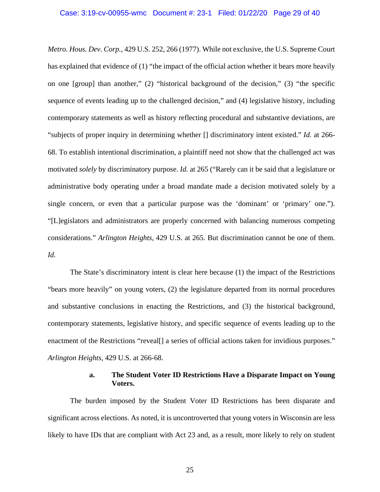<span id="page-31-0"></span>*Metro. Hous. Dev. Corp.*, 429 U.S. 252, 266 (1977). While not exclusive, the U.S. Supreme Court has explained that evidence of (1) "the impact of the official action whether it bears more heavily on one [group] than another," (2) "historical background of the decision," (3) "the specific sequence of events leading up to the challenged decision," and (4) legislative history, including contemporary statements as well as history reflecting procedural and substantive deviations, are "subjects of proper inquiry in determining whether [] discriminatory intent existed." *Id.* at 266- 68. To establish intentional discrimination, a plaintiff need not show that the challenged act was motivated *solely* by discriminatory purpose. *Id.* at 265 ("Rarely can it be said that a legislature or administrative body operating under a broad mandate made a decision motivated solely by a single concern, or even that a particular purpose was the 'dominant' or 'primary' one."). "[L]egislators and administrators are properly concerned with balancing numerous competing considerations." *Arlington Heights*, 429 U.S. at 265. But discrimination cannot be one of them. *Id.*

The State's discriminatory intent is clear here because (1) the impact of the Restrictions "bears more heavily" on young voters, (2) the legislature departed from its normal procedures and substantive conclusions in enacting the Restrictions, and (3) the historical background, contemporary statements, legislative history, and specific sequence of events leading up to the enactment of the Restrictions "reveal<sup>[]</sup> a series of official actions taken for invidious purposes." *Arlington Heights*, 429 U.S. at 266-68.

### **a. The Student Voter ID Restrictions Have a Disparate Impact on Young Voters.**

The burden imposed by the Student Voter ID Restrictions has been disparate and significant across elections. As noted, it is uncontroverted that young voters in Wisconsin are less likely to have IDs that are compliant with Act 23 and, as a result, more likely to rely on student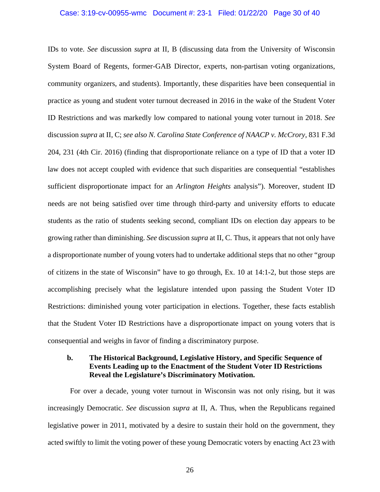#### Case: 3:19-cv-00955-wmc Document #: 23-1 Filed: 01/22/20 Page 30 of 40

<span id="page-32-1"></span><span id="page-32-0"></span>IDs to vote. *See* discussion *supra* at II, B (discussing data from the University of Wisconsin System Board of Regents, former-GAB Director, experts, non-partisan voting organizations, community organizers, and students). Importantly, these disparities have been consequential in practice as young and student voter turnout decreased in 2016 in the wake of the Student Voter ID Restrictions and was markedly low compared to national young voter turnout in 2018. *See* discussion *supra* at II, C; *see also N. Carolina State Conference of NAACP v. McCrory*, 831 F.3d 204, 231 (4th Cir. 2016) (finding that disproportionate reliance on a type of ID that a voter ID law does not accept coupled with evidence that such disparities are consequential "establishes sufficient disproportionate impact for an *Arlington Heights* analysis"). Moreover, student ID needs are not being satisfied over time through third-party and university efforts to educate students as the ratio of students seeking second, compliant IDs on election day appears to be growing rather than diminishing. *See* discussion *supra* at II, C. Thus, it appears that not only have a disproportionate number of young voters had to undertake additional steps that no other "group of citizens in the state of Wisconsin" have to go through, Ex. 10 at 14:1-2, but those steps are accomplishing precisely what the legislature intended upon passing the Student Voter ID Restrictions: diminished young voter participation in elections. Together, these facts establish that the Student Voter ID Restrictions have a disproportionate impact on young voters that is consequential and weighs in favor of finding a discriminatory purpose.

## **b. The Historical Background, Legislative History, and Specific Sequence of Events Leading up to the Enactment of the Student Voter ID Restrictions Reveal the Legislature's Discriminatory Motivation.**

For over a decade, young voter turnout in Wisconsin was not only rising, but it was increasingly Democratic. *See* discussion *supra* at II, A. Thus, when the Republicans regained legislative power in 2011, motivated by a desire to sustain their hold on the government, they acted swiftly to limit the voting power of these young Democratic voters by enacting Act 23 with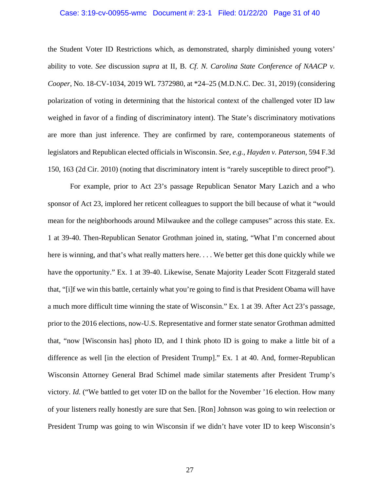#### <span id="page-33-1"></span>Case: 3:19-cv-00955-wmc Document #: 23-1 Filed: 01/22/20 Page 31 of 40

the Student Voter ID Restrictions which, as demonstrated, sharply diminished young voters' ability to vote. *See* discussion *supra* at II, B. *Cf*. *N. Carolina State Conference of NAACP v. Cooper*, No. 18-CV-1034, 2019 WL 7372980, at \*24–25 (M.D.N.C. Dec. 31, 2019) (considering polarization of voting in determining that the historical context of the challenged voter ID law weighed in favor of a finding of discriminatory intent). The State's discriminatory motivations are more than just inference. They are confirmed by rare, contemporaneous statements of legislators and Republican elected officials in Wisconsin. *See, e.g.*, *Hayden v. Paterson*, 594 F.3d 150, 163 (2d Cir. 2010) (noting that discriminatory intent is "rarely susceptible to direct proof").

<span id="page-33-0"></span>For example, prior to Act 23's passage Republican Senator Mary Lazich and a who sponsor of Act 23, implored her reticent colleagues to support the bill because of what it "would mean for the neighborhoods around Milwaukee and the college campuses" across this state. Ex. 1 at 39-40. Then-Republican Senator Grothman joined in, stating, "What I'm concerned about here is winning, and that's what really matters here. . . . We better get this done quickly while we have the opportunity." Ex. 1 at 39-40. Likewise, Senate Majority Leader Scott Fitzgerald stated that, "[i]f we win this battle, certainly what you're going to find is that President Obama will have a much more difficult time winning the state of Wisconsin." Ex. 1 at 39. After Act 23's passage, prior to the 2016 elections, now-U.S. Representative and former state senator Grothman admitted that, "now [Wisconsin has] photo ID, and I think photo ID is going to make a little bit of a difference as well [in the election of President Trump]." Ex. 1 at 40. And, former-Republican Wisconsin Attorney General Brad Schimel made similar statements after President Trump's victory. *Id.* ("We battled to get voter ID on the ballot for the November '16 election. How many of your listeners really honestly are sure that Sen. [Ron] Johnson was going to win reelection or President Trump was going to win Wisconsin if we didn't have voter ID to keep Wisconsin's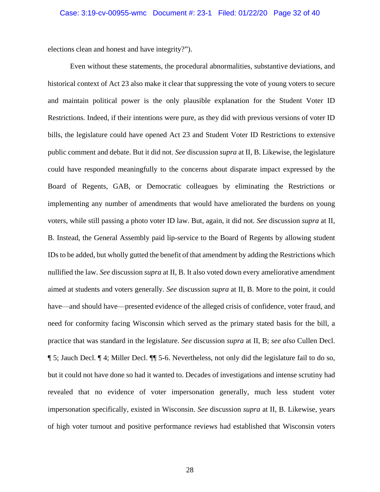elections clean and honest and have integrity?").

Even without these statements, the procedural abnormalities, substantive deviations, and historical context of Act 23 also make it clear that suppressing the vote of young voters to secure and maintain political power is the only plausible explanation for the Student Voter ID Restrictions. Indeed, if their intentions were pure, as they did with previous versions of voter ID bills, the legislature could have opened Act 23 and Student Voter ID Restrictions to extensive public comment and debate. But it did not. *See* discussion *supra* at II, B. Likewise, the legislature could have responded meaningfully to the concerns about disparate impact expressed by the Board of Regents, GAB, or Democratic colleagues by eliminating the Restrictions or implementing any number of amendments that would have ameliorated the burdens on young voters, while still passing a photo voter ID law. But, again, it did not. *See* discussion *supra* at II, B. Instead, the General Assembly paid lip-service to the Board of Regents by allowing student IDs to be added, but wholly gutted the benefit of that amendment by adding the Restrictions which nullified the law. *See* discussion *supra* at II, B. It also voted down every ameliorative amendment aimed at students and voters generally. *See* discussion *supra* at II, B. More to the point, it could have—and should have—presented evidence of the alleged crisis of confidence, voter fraud, and need for conformity facing Wisconsin which served as the primary stated basis for the bill, a practice that was standard in the legislature. *See* discussion *supra* at II, B; *see also* Cullen Decl. ¶ 5; Jauch Decl. ¶ 4; Miller Decl. ¶¶ 5-6. Nevertheless, not only did the legislature fail to do so, but it could not have done so had it wanted to. Decades of investigations and intense scrutiny had revealed that no evidence of voter impersonation generally, much less student voter impersonation specifically, existed in Wisconsin. *See* discussion *supra* at II, B. Likewise, years of high voter turnout and positive performance reviews had established that Wisconsin voters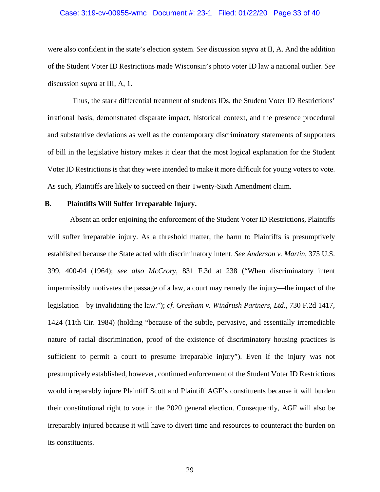#### Case: 3:19-cv-00955-wmc Document #: 23-1 Filed: 01/22/20 Page 33 of 40

were also confident in the state's election system. *See* discussion *supra* at II, A. And the addition of the Student Voter ID Restrictions made Wisconsin's photo voter ID law a national outlier. *See* discussion *supra* at III, A, 1.

Thus, the stark differential treatment of students IDs, the Student Voter ID Restrictions' irrational basis, demonstrated disparate impact, historical context, and the presence procedural and substantive deviations as well as the contemporary discriminatory statements of supporters of bill in the legislative history makes it clear that the most logical explanation for the Student Voter ID Restrictions is that they were intended to make it more difficult for young voters to vote. As such, Plaintiffs are likely to succeed on their Twenty-Sixth Amendment claim.

### <span id="page-35-0"></span>**B. Plaintiffs Will Suffer Irreparable Injury.**

<span id="page-35-3"></span><span id="page-35-2"></span><span id="page-35-1"></span>Absent an order enjoining the enforcement of the Student Voter ID Restrictions, Plaintiffs will suffer irreparable injury. As a threshold matter, the harm to Plaintiffs is presumptively established because the State acted with discriminatory intent. *See Anderson v. Martin*, 375 U.S. 399, 400-04 (1964); *see also McCrory*, 831 F.3d at 238 ("When discriminatory intent impermissibly motivates the passage of a law, a court may remedy the injury—the impact of the legislation—by invalidating the law."); *cf. Gresham v. Windrush Partners, Ltd*., 730 F.2d 1417, 1424 (11th Cir. 1984) (holding "because of the subtle, pervasive, and essentially irremediable nature of racial discrimination, proof of the existence of discriminatory housing practices is sufficient to permit a court to presume irreparable injury"). Even if the injury was not presumptively established, however, continued enforcement of the Student Voter ID Restrictions would irreparably injure Plaintiff Scott and Plaintiff AGF's constituents because it will burden their constitutional right to vote in the 2020 general election. Consequently, AGF will also be irreparably injured because it will have to divert time and resources to counteract the burden on its constituents.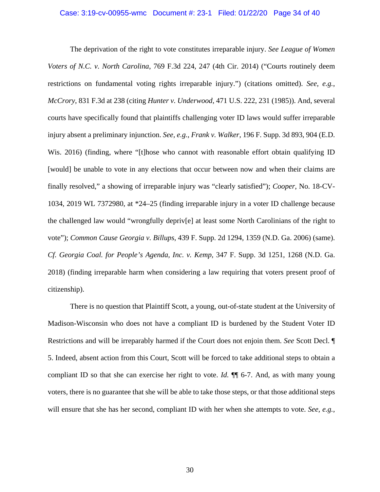<span id="page-36-5"></span><span id="page-36-3"></span><span id="page-36-1"></span>The deprivation of the right to vote constitutes irreparable injury. *See League of Women Voters of N.C. v. North Carolina*, 769 F.3d 224, 247 (4th Cir. 2014) ("Courts routinely deem restrictions on fundamental voting rights irreparable injury.") (citations omitted). *See, e.g.*, *McCrory*, 831 F.3d at 238 (citing *Hunter v. Underwood*, 471 U.S. 222, 231 (1985)). And, several courts have specifically found that plaintiffs challenging voter ID laws would suffer irreparable injury absent a preliminary injunction. *See, e.g.*, *Frank v. Walker*, 196 F. Supp. 3d 893, 904 (E.D. Wis. 2016) (finding, where "[t]hose who cannot with reasonable effort obtain qualifying ID [would] be unable to vote in any elections that occur between now and when their claims are finally resolved," a showing of irreparable injury was "clearly satisfied"); *Cooper*, No. 18-CV-1034, 2019 WL 7372980, at \*24–25 (finding irreparable injury in a voter ID challenge because the challenged law would "wrongfully depriv[e] at least some North Carolinians of the right to vote"); *Common Cause Georgia v. Billups*, 439 F. Supp. 2d 1294, 1359 (N.D. Ga. 2006) (same). *Cf. Georgia Coal. for People's Agenda, Inc. v. Kemp*, 347 F. Supp. 3d 1251, 1268 (N.D. Ga. 2018) (finding irreparable harm when considering a law requiring that voters present proof of citizenship).

<span id="page-36-4"></span><span id="page-36-2"></span><span id="page-36-0"></span>There is no question that Plaintiff Scott, a young, out-of-state student at the University of Madison-Wisconsin who does not have a compliant ID is burdened by the Student Voter ID Restrictions and will be irreparably harmed if the Court does not enjoin them. *See* Scott Decl. ¶ 5. Indeed, absent action from this Court, Scott will be forced to take additional steps to obtain a compliant ID so that she can exercise her right to vote. *Id.* ¶¶ 6-7. And, as with many young voters, there is no guarantee that she will be able to take those steps, or that those additional steps will ensure that she has her second, compliant ID with her when she attempts to vote. *See, e.g.,*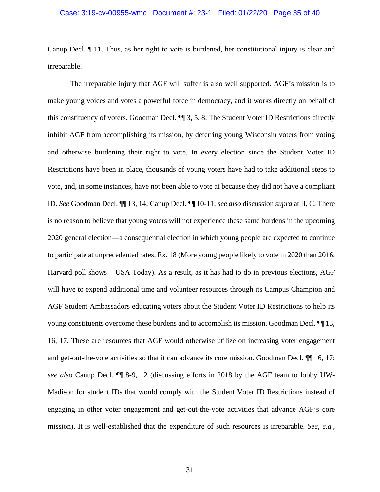#### Case: 3:19-cv-00955-wmc Document #: 23-1 Filed: 01/22/20 Page 35 of 40

Canup Decl. ¶ 11. Thus, as her right to vote is burdened, her constitutional injury is clear and irreparable.

The irreparable injury that AGF will suffer is also well supported. AGF's mission is to make young voices and votes a powerful force in democracy, and it works directly on behalf of this constituency of voters. Goodman Decl. ¶¶ 3, 5, 8. The Student Voter ID Restrictions directly inhibit AGF from accomplishing its mission, by deterring young Wisconsin voters from voting and otherwise burdening their right to vote. In every election since the Student Voter ID Restrictions have been in place, thousands of young voters have had to take additional steps to vote, and, in some instances, have not been able to vote at because they did not have a compliant ID. *See* Goodman Decl. ¶¶ 13, 14; Canup Decl. ¶¶ 10-11; *see also* discussion *supra* at II, C. There is no reason to believe that young voters will not experience these same burdens in the upcoming 2020 general election—a consequential election in which young people are expected to continue to participate at unprecedented rates. Ex. 18 (More young people likely to vote in 2020 than 2016, Harvard poll shows – USA Today). As a result, as it has had to do in previous elections, AGF will have to expend additional time and volunteer resources through its Campus Champion and AGF Student Ambassadors educating voters about the Student Voter ID Restrictions to help its young constituents overcome these burdens and to accomplish its mission. Goodman Decl. ¶¶ 13, 16, 17. These are resources that AGF would otherwise utilize on increasing voter engagement and get-out-the-vote activities so that it can advance its core mission. Goodman Decl. ¶¶ 16, 17; *see also* Canup Decl. ¶¶ 8-9, 12 (discussing efforts in 2018 by the AGF team to lobby UW-Madison for student IDs that would comply with the Student Voter ID Restrictions instead of engaging in other voter engagement and get-out-the-vote activities that advance AGF's core mission). It is well-established that the expenditure of such resources is irreparable. *See, e.g.*,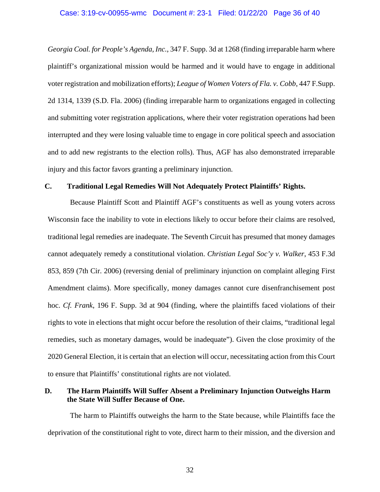#### Case: 3:19-cv-00955-wmc Document #: 23-1 Filed: 01/22/20 Page 36 of 40

<span id="page-38-5"></span><span id="page-38-4"></span>*Georgia Coal. for People's Agenda, Inc.*, 347 F. Supp. 3d at 1268 (finding irreparable harm where plaintiff's organizational mission would be harmed and it would have to engage in additional voter registration and mobilization efforts); *League of Women Voters of Fla. v. Cobb*, 447 F.Supp. 2d 1314, 1339 (S.D. Fla. 2006) (finding irreparable harm to organizations engaged in collecting and submitting voter registration applications, where their voter registration operations had been interrupted and they were losing valuable time to engage in core political speech and association and to add new registrants to the election rolls). Thus, AGF has also demonstrated irreparable injury and this factor favors granting a preliminary injunction.

### <span id="page-38-0"></span>**C. Traditional Legal Remedies Will Not Adequately Protect Plaintiffs' Rights.**

<span id="page-38-2"></span>Because Plaintiff Scott and Plaintiff AGF's constituents as well as young voters across Wisconsin face the inability to vote in elections likely to occur before their claims are resolved, traditional legal remedies are inadequate. The Seventh Circuit has presumed that money damages cannot adequately remedy a constitutional violation. *Christian Legal Soc'y v. Walker*, 453 F.3d 853, 859 (7th Cir. 2006) (reversing denial of preliminary injunction on complaint alleging First Amendment claims). More specifically, money damages cannot cure disenfranchisement post hoc. *Cf. Frank*, 196 F. Supp. 3d at 904 (finding, where the plaintiffs faced violations of their rights to vote in elections that might occur before the resolution of their claims, "traditional legal remedies, such as monetary damages, would be inadequate"). Given the close proximity of the 2020 General Election, it is certain that an election will occur, necessitating action from this Court to ensure that Plaintiffs' constitutional rights are not violated.

## <span id="page-38-3"></span><span id="page-38-1"></span>**D. The Harm Plaintiffs Will Suffer Absent a Preliminary Injunction Outweighs Harm the State Will Suffer Because of One.**

The harm to Plaintiffs outweighs the harm to the State because, while Plaintiffs face the deprivation of the constitutional right to vote, direct harm to their mission, and the diversion and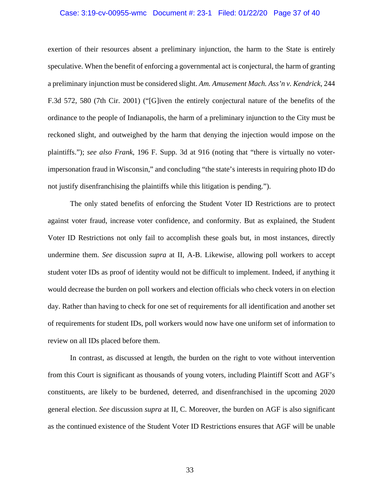#### <span id="page-39-0"></span>Case: 3:19-cv-00955-wmc Document #: 23-1 Filed: 01/22/20 Page 37 of 40

exertion of their resources absent a preliminary injunction, the harm to the State is entirely speculative. When the benefit of enforcing a governmental act is conjectural, the harm of granting a preliminary injunction must be considered slight. *Am. Amusement Mach. Ass'n v. Kendrick*, 244 F.3d 572, 580 (7th Cir. 2001) ("[G]iven the entirely conjectural nature of the benefits of the ordinance to the people of Indianapolis, the harm of a preliminary injunction to the City must be reckoned slight, and outweighed by the harm that denying the injection would impose on the plaintiffs."); *see also Frank*, 196 F. Supp. 3d at 916 (noting that "there is virtually no voterimpersonation fraud in Wisconsin," and concluding "the state's interests in requiring photo ID do not justify disenfranchising the plaintiffs while this litigation is pending.").

<span id="page-39-1"></span>The only stated benefits of enforcing the Student Voter ID Restrictions are to protect against voter fraud, increase voter confidence, and conformity. But as explained, the Student Voter ID Restrictions not only fail to accomplish these goals but, in most instances, directly undermine them. *See* discussion *supra* at II, A-B. Likewise, allowing poll workers to accept student voter IDs as proof of identity would not be difficult to implement. Indeed, if anything it would decrease the burden on poll workers and election officials who check voters in on election day. Rather than having to check for one set of requirements for all identification and another set of requirements for student IDs, poll workers would now have one uniform set of information to review on all IDs placed before them.

In contrast, as discussed at length, the burden on the right to vote without intervention from this Court is significant as thousands of young voters, including Plaintiff Scott and AGF's constituents, are likely to be burdened, deterred, and disenfranchised in the upcoming 2020 general election. *See* discussion *supra* at II, C. Moreover, the burden on AGF is also significant as the continued existence of the Student Voter ID Restrictions ensures that AGF will be unable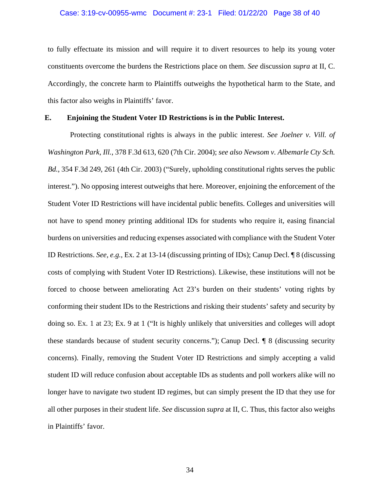#### Case: 3:19-cv-00955-wmc Document #: 23-1 Filed: 01/22/20 Page 38 of 40

to fully effectuate its mission and will require it to divert resources to help its young voter constituents overcome the burdens the Restrictions place on them. *See* discussion *supra* at II, C. Accordingly, the concrete harm to Plaintiffs outweighs the hypothetical harm to the State, and this factor also weighs in Plaintiffs' favor.

### **E. Enjoining the Student Voter ID Restrictions is in the Public Interest.**

<span id="page-40-2"></span><span id="page-40-1"></span><span id="page-40-0"></span>Protecting constitutional rights is always in the public interest. *See Joelner v. Vill. of Washington Park, Ill.*, 378 F.3d 613, 620 (7th Cir. 2004); *see also Newsom v. Albemarle Cty Sch. Bd.*, 354 F.3d 249, 261 (4th Cir. 2003) ("Surely, upholding constitutional rights serves the public interest."). No opposing interest outweighs that here. Moreover, enjoining the enforcement of the Student Voter ID Restrictions will have incidental public benefits. Colleges and universities will not have to spend money printing additional IDs for students who require it, easing financial burdens on universities and reducing expenses associated with compliance with the Student Voter ID Restrictions. *See, e.g.*, Ex. 2 at 13-14 (discussing printing of IDs); Canup Decl. ¶ 8 (discussing costs of complying with Student Voter ID Restrictions). Likewise, these institutions will not be forced to choose between ameliorating Act 23's burden on their students' voting rights by conforming their student IDs to the Restrictions and risking their students' safety and security by doing so. Ex. 1 at 23; Ex. 9 at 1 ("It is highly unlikely that universities and colleges will adopt these standards because of student security concerns."); Canup Decl. ¶ 8 (discussing security concerns). Finally, removing the Student Voter ID Restrictions and simply accepting a valid student ID will reduce confusion about acceptable IDs as students and poll workers alike will no longer have to navigate two student ID regimes, but can simply present the ID that they use for all other purposes in their student life. *See* discussion *supra* at II, C. Thus, this factor also weighs in Plaintiffs' favor.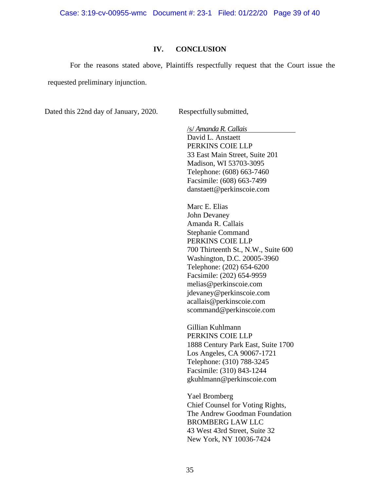Case: 3:19-cv-00955-wmc Document #: 23-1 Filed: 01/22/20 Page 39 of 40

### **IV. CONCLUSION**

<span id="page-41-0"></span>For the reasons stated above, Plaintiffs respectfully request that the Court issue the requested preliminary injunction.

Dated this 22nd day of January, 2020. Respectfully submitted,

/s/ *Amanda R. Callais* David L. Anstaett PERKINS COIE LLP 33 East Main Street, Suite 201 Madison, WI 53703-3095 Telephone: (608) 663-7460 Facsimile: (608) 663-7499 danstaett@perkinscoie.com

Marc E. Elias John Devaney Amanda R. Callais Stephanie Command PERKINS COIE LLP 700 Thirteenth St., N.W., Suite 600 Washington, D.C. 20005-3960 Telephone: (202) 654-6200 Facsimile: (202) 654-9959 melias@perkinscoie.com jdevaney@perkinscoie.com acallais@perkinscoie.com scommand@perkinscoie.com

Gillian Kuhlmann PERKINS COIE LLP 1888 Century Park East, Suite 1700 Los Angeles, CA 90067-1721 Telephone: (310) 788-3245 Facsimile: (310) 843-1244 gkuhlmann@perkinscoie.com

Yael Bromberg Chief Counsel for Voting Rights, The Andrew Goodman Foundation BROMBERG LAW LLC 43 West 43rd Street, Suite 32 New York, NY 10036-7424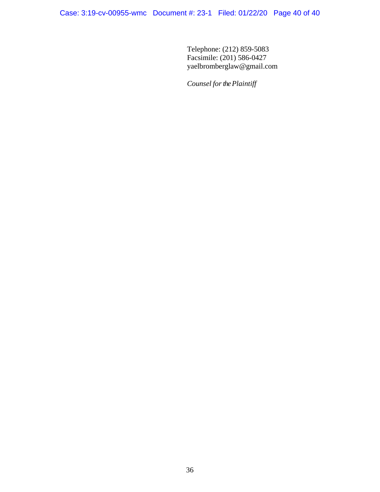Telephone: (212) 859-5083 Facsimile: (201) 586-0427 yaelbromberglaw@gmail.com

Counsel for the Plaintiff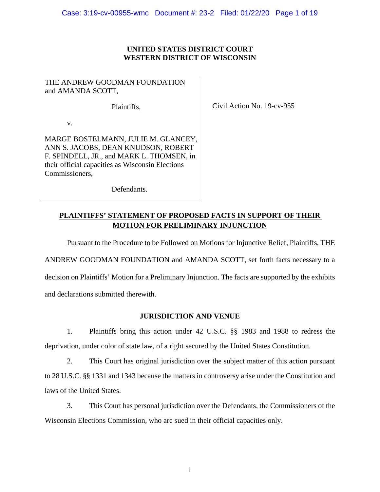## **UNITED STATES DISTRICT COURT WESTERN DISTRICT OF WISCONSIN**

## THE ANDREW GOODMAN FOUNDATION and AMANDA SCOTT,

Plaintiffs,

Civil Action No. 19-cv-955

v.

MARGE BOSTELMANN, JULIE M. GLANCEY, ANN S. JACOBS, DEAN KNUDSON, ROBERT F. SPINDELL, JR., and MARK L. THOMSEN, in their official capacities as Wisconsin Elections Commissioners,

Defendants.

# **PLAINTIFFS' STATEMENT OF PROPOSED FACTS IN SUPPORT OF THEIR MOTION FOR PRELIMINARY INJUNCTION**

Pursuant to the Procedure to be Followed on Motions for Injunctive Relief, Plaintiffs, THE

ANDREW GOODMAN FOUNDATION and AMANDA SCOTT, set forth facts necessary to a

decision on Plaintiffs' Motion for a Preliminary Injunction. The facts are supported by the exhibits and declarations submitted therewith.

# **JURISDICTION AND VENUE**

1. Plaintiffs bring this action under 42 U.S.C. §§ 1983 and 1988 to redress the deprivation, under color of state law, of a right secured by the United States Constitution.

2. This Court has original jurisdiction over the subject matter of this action pursuant to 28 U.S.C. §§ 1331 and 1343 because the matters in controversy arise under the Constitution and laws of the United States.

3. This Court has personal jurisdiction over the Defendants, the Commissioners of the Wisconsin Elections Commission, who are sued in their official capacities only.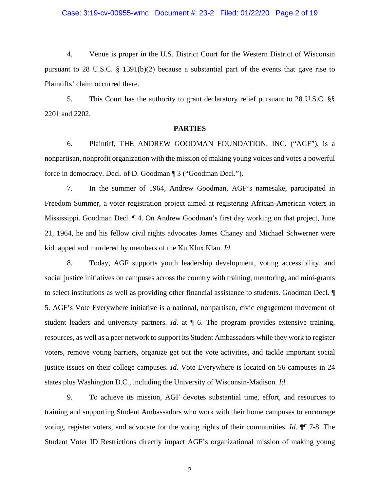### Case: 3:19-cv-00955-wmc Document #: 23-2 Filed: 01/22/20 Page 2 of 19

4. Venue is proper in the U.S. District Court for the Western District of Wisconsin pursuant to 28 U.S.C.  $\S$  1391(b)(2) because a substantial part of the events that gave rise to Plaintiffs' claim occurred there.

5. This Court has the authority to grant declaratory relief pursuant to 28 U.S.C. §§ 2201 and 2202.

#### **PARTIES**

6. Plaintiff, THE ANDREW GOODMAN FOUNDATION, INC. ("AGF"), is a nonpartisan, nonprofit organization with the mission of making young voices and votes a powerful force in democracy. Decl. of D. Goodman ¶ 3 ("Goodman Decl.").

7. In the summer of 1964, Andrew Goodman, AGF's namesake, participated in Freedom Summer, a voter registration project aimed at registering African-American voters in Mississippi. Goodman Decl. ¶ 4. On Andrew Goodman's first day working on that project, June 21, 1964, he and his fellow civil rights advocates James Chaney and Michael Schwerner were kidnapped and murdered by members of the Ku Klux Klan. *Id.*

8. Today, AGF supports youth leadership development, voting accessibility, and social justice initiatives on campuses across the country with training, mentoring, and mini-grants to select institutions as well as providing other financial assistance to students. Goodman Decl. ¶ 5. AGF's Vote Everywhere initiative is a national, nonpartisan, civic engagement movement of student leaders and university partners. *Id.* at  $\P$  6. The program provides extensive training, resources, as well as a peer network to support its Student Ambassadors while they work to register voters, remove voting barriers, organize get out the vote activities, and tackle important social justice issues on their college campuses. *Id.* Vote Everywhere is located on 56 campuses in 24 states plus Washington D.C., including the University of Wisconsin-Madison. *Id.*

9. To achieve its mission, AGF devotes substantial time, effort, and resources to training and supporting Student Ambassadors who work with their home campuses to encourage voting, register voters, and advocate for the voting rights of their communities. *Id*. ¶¶ 7-8. The Student Voter ID Restrictions directly impact AGF's organizational mission of making young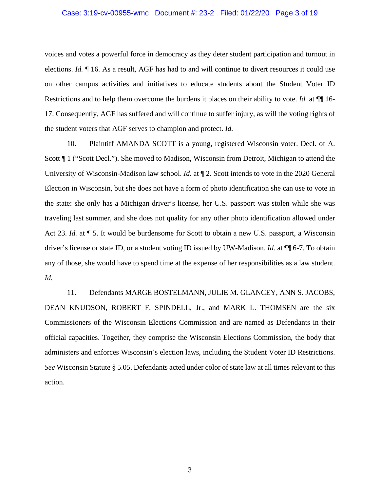#### Case: 3:19-cv-00955-wmc Document #: 23-2 Filed: 01/22/20 Page 3 of 19

voices and votes a powerful force in democracy as they deter student participation and turnout in elections. *Id.* ¶ 16. As a result, AGF has had to and will continue to divert resources it could use on other campus activities and initiatives to educate students about the Student Voter ID Restrictions and to help them overcome the burdens it places on their ability to vote. *Id.* at  $\P$  16-17. Consequently, AGF has suffered and will continue to suffer injury, as will the voting rights of the student voters that AGF serves to champion and protect. *Id.*

10. Plaintiff AMANDA SCOTT is a young, registered Wisconsin voter. Decl. of A. Scott ¶ 1 ("Scott Decl."). She moved to Madison, Wisconsin from Detroit, Michigan to attend the University of Wisconsin-Madison law school. *Id.* at ¶ 2. Scott intends to vote in the 2020 General Election in Wisconsin, but she does not have a form of photo identification she can use to vote in the state: she only has a Michigan driver's license, her U.S. passport was stolen while she was traveling last summer, and she does not quality for any other photo identification allowed under Act 23. *Id.* at  $\P$  5. It would be burdensome for Scott to obtain a new U.S. passport, a Wisconsin driver's license or state ID, or a student voting ID issued by UW-Madison. *Id.* at ¶¶ 6-7. To obtain any of those, she would have to spend time at the expense of her responsibilities as a law student. *Id.*

11. Defendants MARGE BOSTELMANN, JULIE M. GLANCEY, ANN S. JACOBS, DEAN KNUDSON, ROBERT F. SPINDELL, Jr., and MARK L. THOMSEN are the six Commissioners of the Wisconsin Elections Commission and are named as Defendants in their official capacities. Together, they comprise the Wisconsin Elections Commission, the body that administers and enforces Wisconsin's election laws, including the Student Voter ID Restrictions. *See* Wisconsin Statute § 5.05. Defendants acted under color of state law at all times relevant to this action.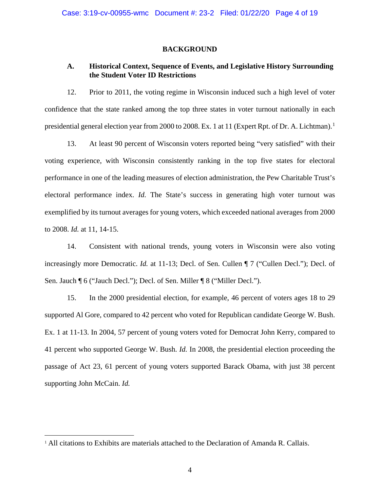#### **BACKGROUND**

## **A. Historical Context, Sequence of Events, and Legislative History Surrounding the Student Voter ID Restrictions**

12. Prior to 2011, the voting regime in Wisconsin induced such a high level of voter confidence that the state ranked among the top three states in voter turnout nationally in each presidential general election year from 2000 to 2008. Ex. [1](#page-46-0) at 11 (Expert Rpt. of Dr. A. Lichtman).<sup>1</sup>

13. At least 90 percent of Wisconsin voters reported being "very satisfied" with their voting experience, with Wisconsin consistently ranking in the top five states for electoral performance in one of the leading measures of election administration, the Pew Charitable Trust's electoral performance index. *Id.* The State's success in generating high voter turnout was exemplified by its turnout averages for young voters, which exceeded national averages from 2000 to 2008. *Id.* at 11, 14-15.

14. Consistent with national trends, young voters in Wisconsin were also voting increasingly more Democratic. *Id.* at 11-13; Decl. of Sen. Cullen ¶ 7 ("Cullen Decl."); Decl. of Sen. Jauch ¶ 6 ("Jauch Decl."); Decl. of Sen. Miller ¶ 8 ("Miller Decl.").

15. In the 2000 presidential election, for example, 46 percent of voters ages 18 to 29 supported Al Gore, compared to 42 percent who voted for Republican candidate George W. Bush. Ex. 1 at 11-13. In 2004, 57 percent of young voters voted for Democrat John Kerry, compared to 41 percent who supported George W. Bush. *Id.* In 2008, the presidential election proceeding the passage of Act 23, 61 percent of young voters supported Barack Obama, with just 38 percent supporting John McCain. *Id.*

<span id="page-46-0"></span> <sup>1</sup> All citations to Exhibits are materials attached to the Declaration of Amanda R. Callais.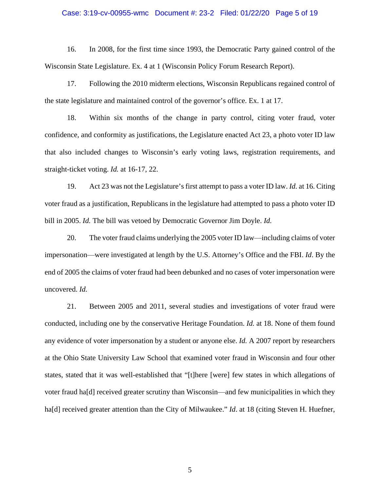#### Case: 3:19-cv-00955-wmc Document #: 23-2 Filed: 01/22/20 Page 5 of 19

16. In 2008, for the first time since 1993, the Democratic Party gained control of the Wisconsin State Legislature. Ex. 4 at 1 (Wisconsin Policy Forum Research Report).

17. Following the 2010 midterm elections, Wisconsin Republicans regained control of the state legislature and maintained control of the governor's office. Ex. 1 at 17.

18. Within six months of the change in party control, citing voter fraud, voter confidence, and conformity as justifications, the Legislature enacted Act 23, a photo voter ID law that also included changes to Wisconsin's early voting laws, registration requirements, and straight-ticket voting. *Id.* at 16-17, 22.

19. Act 23 was not the Legislature's first attempt to pass a voter ID law. *Id.* at 16. Citing voter fraud as a justification, Republicans in the legislature had attempted to pass a photo voter ID bill in 2005. *Id.* The bill was vetoed by Democratic Governor Jim Doyle. *Id.*

20. The voter fraud claims underlying the 2005 voter ID law⸺including claims of voter impersonation⸺were investigated at length by the U.S. Attorney's Office and the FBI. *Id*. By the end of 2005 the claims of voter fraud had been debunked and no cases of voter impersonation were uncovered. *Id.*

21. Between 2005 and 2011, several studies and investigations of voter fraud were conducted, including one by the conservative Heritage Foundation. *Id.* at 18. None of them found any evidence of voter impersonation by a student or anyone else. *Id.* A 2007 report by researchers at the Ohio State University Law School that examined voter fraud in Wisconsin and four other states, stated that it was well-established that "[t]here [were] few states in which allegations of voter fraud ha[d] received greater scrutiny than Wisconsin⸺and few municipalities in which they ha[d] received greater attention than the City of Milwaukee." *Id*. at 18 (citing Steven H. Huefner,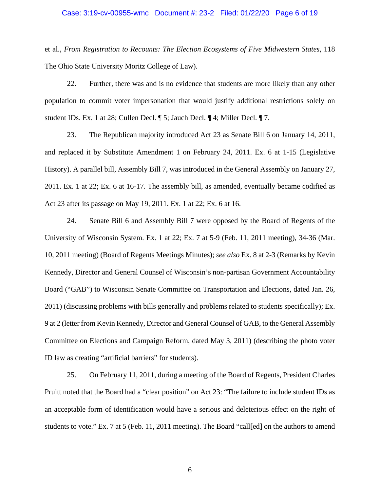## Case: 3:19-cv-00955-wmc Document #: 23-2 Filed: 01/22/20 Page 6 of 19

et al., *From Registration to Recounts: The Election Ecosystems of Five Midwestern States*, 118 The Ohio State University Moritz College of Law).

22. Further, there was and is no evidence that students are more likely than any other population to commit voter impersonation that would justify additional restrictions solely on student IDs. Ex. 1 at 28; Cullen Decl. ¶ 5; Jauch Decl. ¶ 4; Miller Decl. ¶ 7.

23. The Republican majority introduced Act 23 as Senate Bill 6 on January 14, 2011, and replaced it by Substitute Amendment 1 on February 24, 2011. Ex. 6 at 1-15 (Legislative History). A parallel bill, Assembly Bill 7, was introduced in the General Assembly on January 27, 2011. Ex. 1 at 22; Ex. 6 at 16-17. The assembly bill, as amended, eventually became codified as Act 23 after its passage on May 19, 2011. Ex. 1 at 22; Ex. 6 at 16.

24. Senate Bill 6 and Assembly Bill 7 were opposed by the Board of Regents of the University of Wisconsin System. Ex. 1 at 22; Ex. 7 at 5-9 (Feb. 11, 2011 meeting), 34-36 (Mar. 10, 2011 meeting) (Board of Regents Meetings Minutes); *see also* Ex. 8 at 2-3 (Remarks by Kevin Kennedy, Director and General Counsel of Wisconsin's non-partisan Government Accountability Board ("GAB") to Wisconsin Senate Committee on Transportation and Elections, dated Jan. 26, 2011) (discussing problems with bills generally and problems related to students specifically); Ex. 9 at 2 (letter from Kevin Kennedy, Director and General Counsel of GAB, to the General Assembly Committee on Elections and Campaign Reform, dated May 3, 2011) (describing the photo voter ID law as creating "artificial barriers" for students).

25. On February 11, 2011, during a meeting of the Board of Regents, President Charles Pruitt noted that the Board had a "clear position" on Act 23: "The failure to include student IDs as an acceptable form of identification would have a serious and deleterious effect on the right of students to vote." Ex. 7 at 5 (Feb. 11, 2011 meeting). The Board "call[ed] on the authors to amend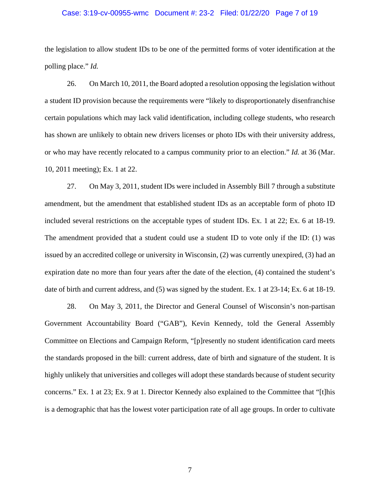## Case: 3:19-cv-00955-wmc Document #: 23-2 Filed: 01/22/20 Page 7 of 19

the legislation to allow student IDs to be one of the permitted forms of voter identification at the polling place." *Id.*

26. On March 10, 2011, the Board adopted a resolution opposing the legislation without a student ID provision because the requirements were "likely to disproportionately disenfranchise certain populations which may lack valid identification, including college students, who research has shown are unlikely to obtain new drivers licenses or photo IDs with their university address, or who may have recently relocated to a campus community prior to an election." *Id.* at 36 (Mar. 10, 2011 meeting); Ex. 1 at 22.

27. On May 3, 2011, student IDs were included in Assembly Bill 7 through a substitute amendment, but the amendment that established student IDs as an acceptable form of photo ID included several restrictions on the acceptable types of student IDs. Ex. 1 at 22; Ex. 6 at 18-19. The amendment provided that a student could use a student ID to vote only if the ID: (1) was issued by an accredited college or university in Wisconsin, (2) was currently unexpired, (3) had an expiration date no more than four years after the date of the election, (4) contained the student's date of birth and current address, and (5) was signed by the student. Ex. 1 at 23-14; Ex. 6 at 18-19.

28. On May 3, 2011, the Director and General Counsel of Wisconsin's non-partisan Government Accountability Board ("GAB"), Kevin Kennedy, told the General Assembly Committee on Elections and Campaign Reform, "[p]resently no student identification card meets the standards proposed in the bill: current address, date of birth and signature of the student. It is highly unlikely that universities and colleges will adopt these standards because of student security concerns." Ex. 1 at 23; Ex. 9 at 1. Director Kennedy also explained to the Committee that "[t]his is a demographic that has the lowest voter participation rate of all age groups. In order to cultivate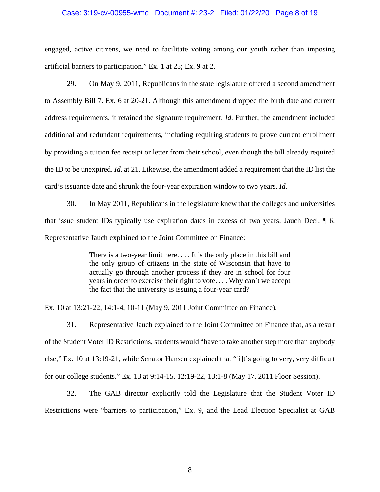## Case: 3:19-cv-00955-wmc Document #: 23-2 Filed: 01/22/20 Page 8 of 19

engaged, active citizens, we need to facilitate voting among our youth rather than imposing artificial barriers to participation." Ex. 1 at 23; Ex. 9 at 2.

29. On May 9, 2011, Republicans in the state legislature offered a second amendment to Assembly Bill 7. Ex. 6 at 20-21. Although this amendment dropped the birth date and current address requirements, it retained the signature requirement. *Id.* Further, the amendment included additional and redundant requirements, including requiring students to prove current enrollment by providing a tuition fee receipt or letter from their school, even though the bill already required the ID to be unexpired. *Id.* at 21. Likewise, the amendment added a requirement that the ID list the card's issuance date and shrunk the four-year expiration window to two years. *Id.*

30. In May 2011, Republicans in the legislature knew that the colleges and universities that issue student IDs typically use expiration dates in excess of two years. Jauch Decl. ¶ 6. Representative Jauch explained to the Joint Committee on Finance:

> There is a two-year limit here. . . . It is the only place in this bill and the only group of citizens in the state of Wisconsin that have to actually go through another process if they are in school for four years in order to exercise their right to vote. . . . Why can't we accept the fact that the university is issuing a four-year card?

Ex. 10 at 13:21-22, 14:1-4, 10-11 (May 9, 2011 Joint Committee on Finance).

31. Representative Jauch explained to the Joint Committee on Finance that, as a result of the Student Voter ID Restrictions, students would "have to take another step more than anybody else," Ex. 10 at 13:19-21, while Senator Hansen explained that "[i]t's going to very, very difficult for our college students." Ex. 13 at 9:14-15, 12:19-22, 13:1-8 (May 17, 2011 Floor Session).

32. The GAB director explicitly told the Legislature that the Student Voter ID Restrictions were "barriers to participation," Ex. 9, and the Lead Election Specialist at GAB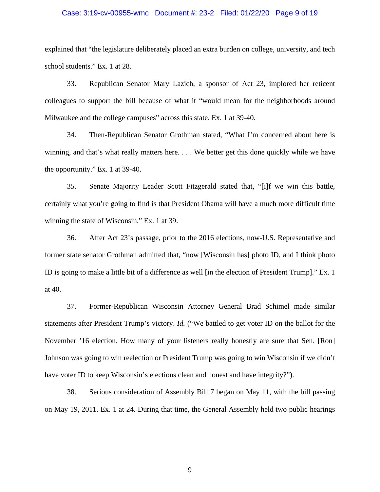### Case: 3:19-cv-00955-wmc Document #: 23-2 Filed: 01/22/20 Page 9 of 19

explained that "the legislature deliberately placed an extra burden on college, university, and tech school students." Ex. 1 at 28.

33. Republican Senator Mary Lazich, a sponsor of Act 23, implored her reticent colleagues to support the bill because of what it "would mean for the neighborhoods around Milwaukee and the college campuses" across this state. Ex. 1 at 39-40.

34. Then-Republican Senator Grothman stated, "What I'm concerned about here is winning, and that's what really matters here. . . . We better get this done quickly while we have the opportunity." Ex. 1 at 39-40.

35. Senate Majority Leader Scott Fitzgerald stated that, "[i]f we win this battle, certainly what you're going to find is that President Obama will have a much more difficult time winning the state of Wisconsin." Ex. 1 at 39.

36. After Act 23's passage, prior to the 2016 elections, now-U.S. Representative and former state senator Grothman admitted that, "now [Wisconsin has] photo ID, and I think photo ID is going to make a little bit of a difference as well [in the election of President Trump]." Ex. 1 at 40.

37. Former-Republican Wisconsin Attorney General Brad Schimel made similar statements after President Trump's victory. *Id.* ("We battled to get voter ID on the ballot for the November '16 election. How many of your listeners really honestly are sure that Sen. [Ron] Johnson was going to win reelection or President Trump was going to win Wisconsin if we didn't have voter ID to keep Wisconsin's elections clean and honest and have integrity?").

38. Serious consideration of Assembly Bill 7 began on May 11, with the bill passing on May 19, 2011. Ex. 1 at 24. During that time, the General Assembly held two public hearings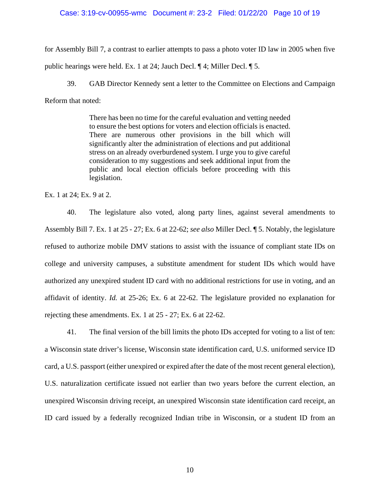### Case: 3:19-cv-00955-wmc Document #: 23-2 Filed: 01/22/20 Page 10 of 19

for Assembly Bill 7, a contrast to earlier attempts to pass a photo voter ID law in 2005 when five public hearings were held. Ex. 1 at 24; Jauch Decl. ¶ 4; Miller Decl. ¶ 5.

39. GAB Director Kennedy sent a letter to the Committee on Elections and Campaign Reform that noted:

> There has been no time for the careful evaluation and vetting needed to ensure the best options for voters and election officials is enacted. There are numerous other provisions in the bill which will significantly alter the administration of elections and put additional stress on an already overburdened system. I urge you to give careful consideration to my suggestions and seek additional input from the public and local election officials before proceeding with this legislation.

Ex. 1 at 24; Ex. 9 at 2.

40. The legislature also voted, along party lines, against several amendments to Assembly Bill 7. Ex. 1 at 25 - 27; Ex. 6 at 22-62; *see also* Miller Decl. ¶ 5. Notably, the legislature refused to authorize mobile DMV stations to assist with the issuance of compliant state IDs on college and university campuses, a substitute amendment for student IDs which would have authorized any unexpired student ID card with no additional restrictions for use in voting, and an affidavit of identity. *Id.* at 25-26; Ex. 6 at 22-62. The legislature provided no explanation for rejecting these amendments. Ex. 1 at 25 - 27; Ex. 6 at 22-62.

41. The final version of the bill limits the photo IDs accepted for voting to a list of ten: a Wisconsin state driver's license, Wisconsin state identification card, U.S. uniformed service ID card, a U.S. passport (either unexpired or expired after the date of the most recent general election), U.S. naturalization certificate issued not earlier than two years before the current election, an unexpired Wisconsin driving receipt, an unexpired Wisconsin state identification card receipt, an ID card issued by a federally recognized Indian tribe in Wisconsin, or a student ID from an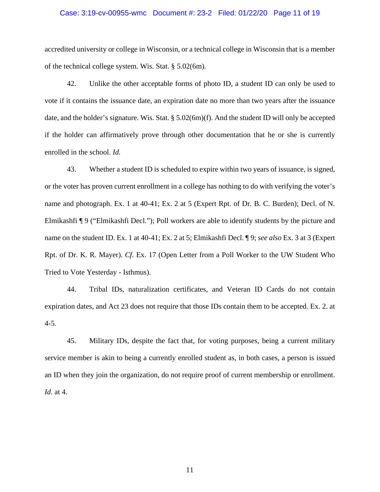#### Case: 3:19-cv-00955-wmc Document #: 23-2 Filed: 01/22/20 Page 11 of 19

accredited university or college in Wisconsin, or a technical college in Wisconsin that is a member of the technical college system. Wis. Stat. § 5.02(6m).

42. Unlike the other acceptable forms of photo ID, a student ID can only be used to vote if it contains the issuance date, an expiration date no more than two years after the issuance date, and the holder's signature. Wis. Stat. § 5.02(6m)(f). And the student ID will only be accepted if the holder can affirmatively prove through other documentation that he or she is currently enrolled in the school. *Id.*

43. Whether a student ID is scheduled to expire within two years of issuance, is signed, or the voter has proven current enrollment in a college has nothing to do with verifying the voter's name and photograph. Ex. 1 at 40-41; Ex. 2 at 5 (Expert Rpt. of Dr. B. C. Burden); Decl. of N. Elmikashfi ¶ 9 ("Elmikashfi Decl."); Poll workers are able to identify students by the picture and name on the student ID. Ex. 1 at 40-41; Ex. 2 at 5; Elmikashfi Decl. ¶ 9; *see also* Ex. 3 at 3 (Expert Rpt. of Dr. K. R. Mayer). *Cf.* Ex. 17 (Open Letter from a Poll Worker to the UW Student Who Tried to Vote Yesterday - Isthmus).

44. Tribal IDs, naturalization certificates, and Veteran ID Cards do not contain expiration dates, and Act 23 does not require that those IDs contain them to be accepted. Ex. 2. at 4-5.

45. Military IDs, despite the fact that, for voting purposes, being a current military service member is akin to being a currently enrolled student as, in both cases, a person is issued an ID when they join the organization, do not require proof of current membership or enrollment. *Id.* at 4.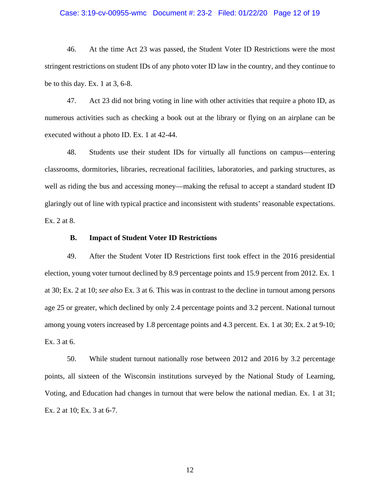#### Case: 3:19-cv-00955-wmc Document #: 23-2 Filed: 01/22/20 Page 12 of 19

46. At the time Act 23 was passed, the Student Voter ID Restrictions were the most stringent restrictions on student IDs of any photo voter ID law in the country, and they continue to be to this day. Ex. 1 at 3, 6-8.

47. Act 23 did not bring voting in line with other activities that require a photo ID, as numerous activities such as checking a book out at the library or flying on an airplane can be executed without a photo ID. Ex. 1 at 42-44.

48. Students use their student IDs for virtually all functions on campus—entering classrooms, dormitories, libraries, recreational facilities, laboratories, and parking structures, as well as riding the bus and accessing money—making the refusal to accept a standard student ID glaringly out of line with typical practice and inconsistent with students' reasonable expectations. Ex. 2 at 8.

### **B. Impact of Student Voter ID Restrictions**

49. After the Student Voter ID Restrictions first took effect in the 2016 presidential election, young voter turnout declined by 8.9 percentage points and 15.9 percent from 2012. Ex. 1 at 30; Ex. 2 at 10; *see also* Ex. 3 at 6. This was in contrast to the decline in turnout among persons age 25 or greater, which declined by only 2.4 percentage points and 3.2 percent. National turnout among young voters increased by 1.8 percentage points and 4.3 percent. Ex. 1 at 30; Ex. 2 at 9-10; Ex. 3 at 6.

50. While student turnout nationally rose between 2012 and 2016 by 3.2 percentage points, all sixteen of the Wisconsin institutions surveyed by the National Study of Learning, Voting, and Education had changes in turnout that were below the national median. Ex. 1 at 31; Ex. 2 at 10; Ex. 3 at 6-7.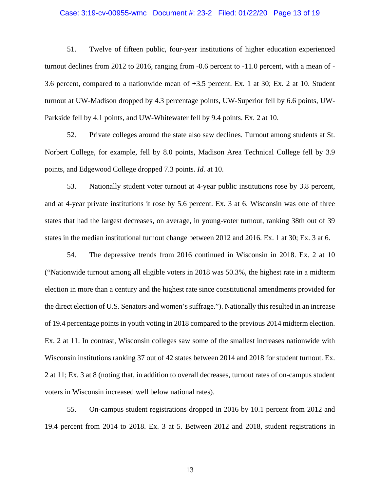#### Case: 3:19-cv-00955-wmc Document #: 23-2 Filed: 01/22/20 Page 13 of 19

51. Twelve of fifteen public, four-year institutions of higher education experienced turnout declines from 2012 to 2016, ranging from -0.6 percent to -11.0 percent, with a mean of - 3.6 percent, compared to a nationwide mean of +3.5 percent. Ex. 1 at 30; Ex. 2 at 10. Student turnout at UW-Madison dropped by 4.3 percentage points, UW-Superior fell by 6.6 points, UW-Parkside fell by 4.1 points, and UW-Whitewater fell by 9.4 points. Ex. 2 at 10.

52. Private colleges around the state also saw declines. Turnout among students at St. Norbert College, for example, fell by 8.0 points, Madison Area Technical College fell by 3.9 points, and Edgewood College dropped 7.3 points. *Id.* at 10.

53. Nationally student voter turnout at 4-year public institutions rose by 3.8 percent, and at 4-year private institutions it rose by 5.6 percent. Ex. 3 at 6. Wisconsin was one of three states that had the largest decreases, on average, in young-voter turnout, ranking 38th out of 39 states in the median institutional turnout change between 2012 and 2016. Ex. 1 at 30; Ex. 3 at 6.

54. The depressive trends from 2016 continued in Wisconsin in 2018. Ex. 2 at 10 ("Nationwide turnout among all eligible voters in 2018 was 50.3%, the highest rate in a midterm election in more than a century and the highest rate since constitutional amendments provided for the direct election of U.S. Senators and women's suffrage."). Nationally this resulted in an increase of 19.4 percentage points in youth voting in 2018 compared to the previous 2014 midterm election. Ex. 2 at 11. In contrast, Wisconsin colleges saw some of the smallest increases nationwide with Wisconsin institutions ranking 37 out of 42 states between 2014 and 2018 for student turnout. Ex. 2 at 11; Ex. 3 at 8 (noting that, in addition to overall decreases, turnout rates of on-campus student voters in Wisconsin increased well below national rates).

55. On-campus student registrations dropped in 2016 by 10.1 percent from 2012 and 19.4 percent from 2014 to 2018. Ex. 3 at 5. Between 2012 and 2018, student registrations in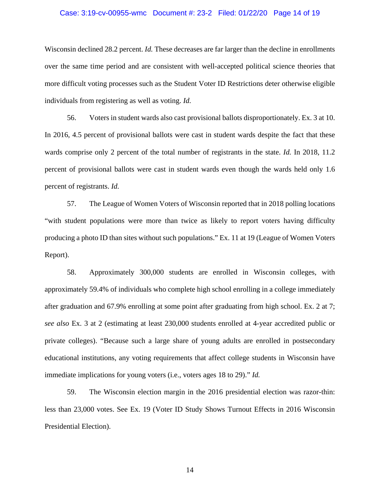#### Case: 3:19-cv-00955-wmc Document #: 23-2 Filed: 01/22/20 Page 14 of 19

Wisconsin declined 28.2 percent. *Id.* These decreases are far larger than the decline in enrollments over the same time period and are consistent with well-accepted political science theories that more difficult voting processes such as the Student Voter ID Restrictions deter otherwise eligible individuals from registering as well as voting. *Id.*

56. Voters in student wards also cast provisional ballots disproportionately. Ex. 3 at 10. In 2016, 4.5 percent of provisional ballots were cast in student wards despite the fact that these wards comprise only 2 percent of the total number of registrants in the state. *Id.* In 2018, 11.2 percent of provisional ballots were cast in student wards even though the wards held only 1.6 percent of registrants. *Id.*

57. The League of Women Voters of Wisconsin reported that in 2018 polling locations "with student populations were more than twice as likely to report voters having difficulty producing a photo ID than sites without such populations." Ex. 11 at 19 (League of Women Voters Report).

58. Approximately 300,000 students are enrolled in Wisconsin colleges, with approximately 59.4% of individuals who complete high school enrolling in a college immediately after graduation and 67.9% enrolling at some point after graduating from high school. Ex. 2 at 7; *see also* Ex. 3 at 2 (estimating at least 230,000 students enrolled at 4-year accredited public or private colleges). "Because such a large share of young adults are enrolled in postsecondary educational institutions, any voting requirements that affect college students in Wisconsin have immediate implications for young voters (i.e., voters ages 18 to 29)." *Id.*

59. The Wisconsin election margin in the 2016 presidential election was razor-thin: less than 23,000 votes. See Ex. 19 (Voter ID Study Shows Turnout Effects in 2016 Wisconsin Presidential Election).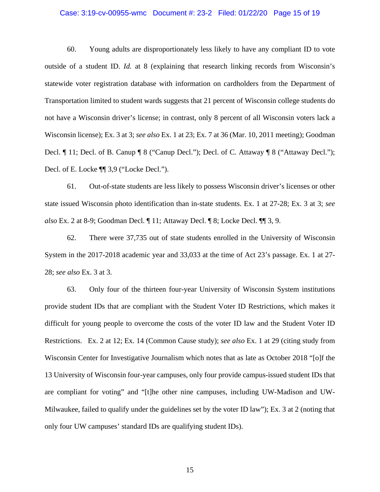### Case: 3:19-cv-00955-wmc Document #: 23-2 Filed: 01/22/20 Page 15 of 19

60. Young adults are disproportionately less likely to have any compliant ID to vote outside of a student ID. *Id.* at 8 (explaining that research linking records from Wisconsin's statewide voter registration database with information on cardholders from the Department of Transportation limited to student wards suggests that 21 percent of Wisconsin college students do not have a Wisconsin driver's license; in contrast, only 8 percent of all Wisconsin voters lack a Wisconsin license); Ex. 3 at 3; *see also* Ex. 1 at 23; Ex. 7 at 36 (Mar. 10, 2011 meeting); Goodman Decl.  $\P$  11; Decl. of B. Canup  $\P$  8 ("Canup Decl."); Decl. of C. Attaway  $\P$  8 ("Attaway Decl."); Decl. of E. Locke ¶¶ 3,9 ("Locke Decl.").

61. Out-of-state students are less likely to possess Wisconsin driver's licenses or other state issued Wisconsin photo identification than in-state students. Ex. 1 at 27-28; Ex. 3 at 3; *see also* Ex. 2 at 8-9; Goodman Decl. ¶ 11; Attaway Decl. ¶ 8; Locke Decl. ¶¶ 3, 9.

62. There were 37,735 out of state students enrolled in the University of Wisconsin System in the 2017-2018 academic year and 33,033 at the time of Act 23's passage. Ex. 1 at 27- 28; *see also* Ex. 3 at 3.

63. Only four of the thirteen four-year University of Wisconsin System institutions provide student IDs that are compliant with the Student Voter ID Restrictions, which makes it difficult for young people to overcome the costs of the voter ID law and the Student Voter ID Restrictions. Ex. 2 at 12; Ex. 14 (Common Cause study); *see also* Ex. 1 at 29 (citing study from Wisconsin Center for Investigative Journalism which notes that as late as October 2018 "[o]f the 13 University of Wisconsin four-year campuses, only four provide campus-issued student IDs that are compliant for voting" and "[t]he other nine campuses, including UW-Madison and UW-Milwaukee, failed to qualify under the guidelines set by the voter ID law"); Ex. 3 at 2 (noting that only four UW campuses' standard IDs are qualifying student IDs).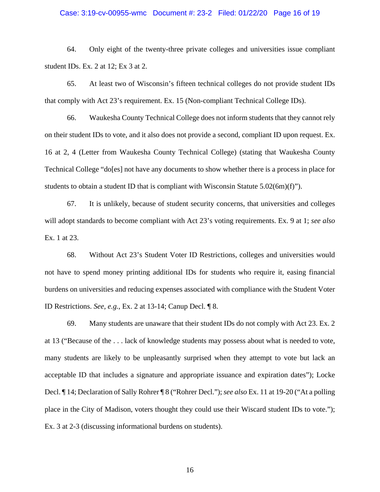#### Case: 3:19-cv-00955-wmc Document #: 23-2 Filed: 01/22/20 Page 16 of 19

64. Only eight of the twenty-three private colleges and universities issue compliant student IDs. Ex. 2 at 12; Ex 3 at 2.

65. At least two of Wisconsin's fifteen technical colleges do not provide student IDs that comply with Act 23's requirement. Ex. 15 (Non-compliant Technical College IDs).

66. Waukesha County Technical College does not inform students that they cannot rely on their student IDs to vote, and it also does not provide a second, compliant ID upon request. Ex. 16 at 2, 4 (Letter from Waukesha County Technical College) (stating that Waukesha County Technical College "do[es] not have any documents to show whether there is a process in place for students to obtain a student ID that is compliant with Wisconsin Statute  $5.02(6m)(f)$ ").

67. It is unlikely, because of student security concerns, that universities and colleges will adopt standards to become compliant with Act 23's voting requirements. Ex. 9 at 1; *see also* Ex. 1 at 23.

68. Without Act 23's Student Voter ID Restrictions, colleges and universities would not have to spend money printing additional IDs for students who require it, easing financial burdens on universities and reducing expenses associated with compliance with the Student Voter ID Restrictions. *See, e.g.*, Ex. 2 at 13-14; Canup Decl. ¶ 8.

69. Many students are unaware that their student IDs do not comply with Act 23. Ex. 2 at 13 ("Because of the . . . lack of knowledge students may possess about what is needed to vote, many students are likely to be unpleasantly surprised when they attempt to vote but lack an acceptable ID that includes a signature and appropriate issuance and expiration dates"); Locke Decl. ¶ 14; Declaration of Sally Rohrer ¶ 8 ("Rohrer Decl."); *see also* Ex. 11 at 19-20 ("At a polling place in the City of Madison, voters thought they could use their Wiscard student IDs to vote."); Ex. 3 at 2-3 (discussing informational burdens on students).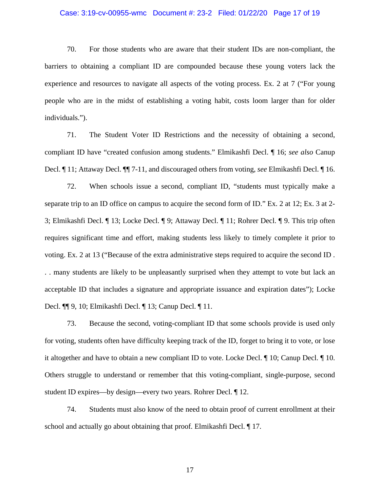#### Case: 3:19-cv-00955-wmc Document #: 23-2 Filed: 01/22/20 Page 17 of 19

70. For those students who are aware that their student IDs are non-compliant, the barriers to obtaining a compliant ID are compounded because these young voters lack the experience and resources to navigate all aspects of the voting process. Ex. 2 at 7 ("For young people who are in the midst of establishing a voting habit, costs loom larger than for older individuals.").

71. The Student Voter ID Restrictions and the necessity of obtaining a second, compliant ID have "created confusion among students." Elmikashfi Decl. ¶ 16; *see also* Canup Decl. ¶ 11; Attaway Decl. ¶¶ 7-11, and discouraged others from voting, *see* Elmikashfi Decl. ¶ 16.

72. When schools issue a second, compliant ID, "students must typically make a separate trip to an ID office on campus to acquire the second form of ID." Ex. 2 at 12; Ex. 3 at 2- 3; Elmikashfi Decl. ¶ 13; Locke Decl. ¶ 9; Attaway Decl. ¶ 11; Rohrer Decl. ¶ 9. This trip often requires significant time and effort, making students less likely to timely complete it prior to voting. Ex. 2 at 13 ("Because of the extra administrative steps required to acquire the second ID . . . many students are likely to be unpleasantly surprised when they attempt to vote but lack an acceptable ID that includes a signature and appropriate issuance and expiration dates"); Locke Decl. ¶¶ 9, 10; Elmikashfi Decl. ¶ 13; Canup Decl. ¶ 11.

73. Because the second, voting-compliant ID that some schools provide is used only for voting, students often have difficulty keeping track of the ID, forget to bring it to vote, or lose it altogether and have to obtain a new compliant ID to vote. Locke Decl. ¶ 10; Canup Decl. ¶ 10. Others struggle to understand or remember that this voting-compliant, single-purpose, second student ID expires—by design—every two years. Rohrer Decl. ¶ 12.

74. Students must also know of the need to obtain proof of current enrollment at their school and actually go about obtaining that proof. Elmikashfi Decl. ¶ 17.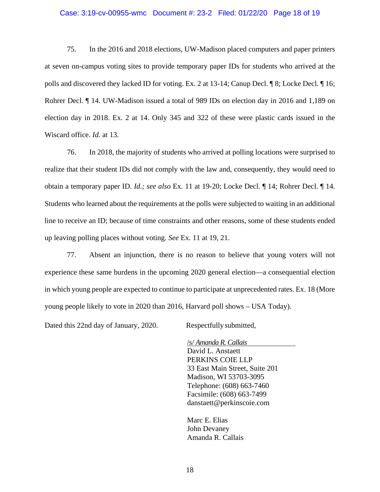#### Case: 3:19-cv-00955-wmc Document #: 23-2 Filed: 01/22/20 Page 18 of 19

75. In the 2016 and 2018 elections, UW-Madison placed computers and paper printers at seven on-campus voting sites to provide temporary paper IDs for students who arrived at the polls and discovered they lacked ID for voting. Ex. 2 at 13-14; Canup Decl. ¶ 8; Locke Decl. ¶ 16; Rohrer Decl. ¶ 14. UW-Madison issued a total of 989 IDs on election day in 2016 and 1,189 on election day in 2018. Ex. 2 at 14. Only 345 and 322 of these were plastic cards issued in the Wiscard office. *Id.* at 13.

76. In 2018, the majority of students who arrived at polling locations were surprised to realize that their student IDs did not comply with the law and, consequently, they would need to obtain a temporary paper ID. *Id.; see also* Ex. 11 at 19-20; Locke Decl. ¶ 14; Rohrer Decl. ¶ 14. Students who learned about the requirements at the polls were subjected to waiting in an additional line to receive an ID; because of time constraints and other reasons, some of these students ended up leaving polling places without voting. *See* Ex. 11 at 19, 21.

77. Absent an injunction, there is no reason to believe that young voters will not experience these same burdens in the upcoming 2020 general election—a consequential election in which young people are expected to continue to participate at unprecedented rates. Ex. 18 (More young people likely to vote in 2020 than 2016, Harvard poll shows – USA Today).

Dated this 22nd day of January, 2020. Respectfully submitted,

/s/ *Amanda R. Callais* David L. Anstaett PERKINS COIE LLP 33 East Main Street, Suite 201 Madison, WI 53703-3095 Telephone: (608) 663-7460 Facsimile: (608) 663-7499 danstaett@perkinscoie.com

Marc E. Elias John Devaney Amanda R. Callais